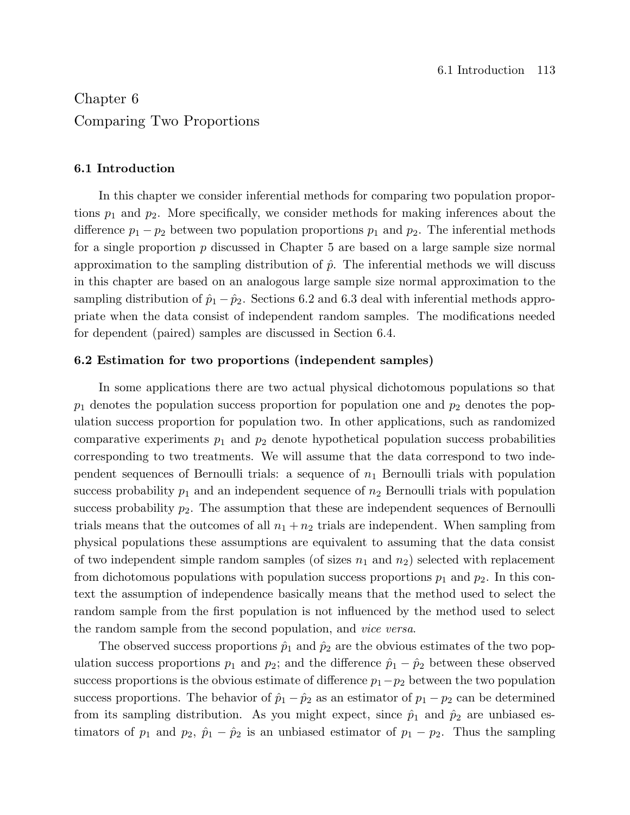# Chapter 6 Comparing Two Proportions

# 6.1 Introduction

In this chapter we consider inferential methods for comparing two population proportions  $p_1$  and  $p_2$ . More specifically, we consider methods for making inferences about the difference  $p_1 - p_2$  between two population proportions  $p_1$  and  $p_2$ . The inferential methods for a single proportion  $p$  discussed in Chapter 5 are based on a large sample size normal approximation to the sampling distribution of  $\hat{p}$ . The inferential methods we will discuss in this chapter are based on an analogous large sample size normal approximation to the sampling distribution of  $\hat{p}_1 - \hat{p}_2$ . Sections 6.2 and 6.3 deal with inferential methods appropriate when the data consist of independent random samples. The modifications needed for dependent (paired) samples are discussed in Section 6.4.

# 6.2 Estimation for two proportions (independent samples)

In some applications there are two actual physical dichotomous populations so that  $p_1$  denotes the population success proportion for population one and  $p_2$  denotes the population success proportion for population two. In other applications, such as randomized comparative experiments  $p_1$  and  $p_2$  denote hypothetical population success probabilities corresponding to two treatments. We will assume that the data correspond to two independent sequences of Bernoulli trials: a sequence of  $n_1$  Bernoulli trials with population success probability  $p_1$  and an independent sequence of  $n_2$  Bernoulli trials with population success probability  $p_2$ . The assumption that these are independent sequences of Bernoulli trials means that the outcomes of all  $n_1 + n_2$  trials are independent. When sampling from physical populations these assumptions are equivalent to assuming that the data consist of two independent simple random samples (of sizes  $n_1$  and  $n_2$ ) selected with replacement from dichotomous populations with population success proportions  $p_1$  and  $p_2$ . In this context the assumption of independence basically means that the method used to select the random sample from the first population is not influenced by the method used to select the random sample from the second population, and vice versa.

The observed success proportions  $\hat{p}_1$  and  $\hat{p}_2$  are the obvious estimates of the two population success proportions  $p_1$  and  $p_2$ ; and the difference  $\hat{p}_1 - \hat{p}_2$  between these observed success proportions is the obvious estimate of difference  $p_1-p_2$  between the two population success proportions. The behavior of  $\hat{p}_1 - \hat{p}_2$  as an estimator of  $p_1 - p_2$  can be determined from its sampling distribution. As you might expect, since  $\hat{p}_1$  and  $\hat{p}_2$  are unbiased estimators of  $p_1$  and  $p_2$ ,  $\hat{p}_1 - \hat{p}_2$  is an unbiased estimator of  $p_1 - p_2$ . Thus the sampling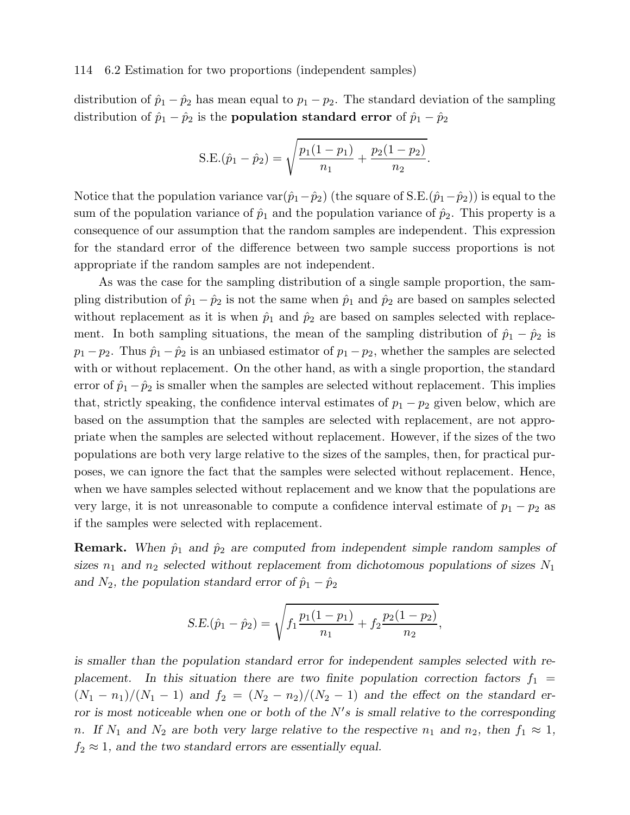#### 114 6.2 Estimation for two proportions (independent samples)

distribution of  $\hat{p}_1 - \hat{p}_2$  has mean equal to  $p_1 - p_2$ . The standard deviation of the sampling distribution of  $\hat{p}_1 - \hat{p}_2$  is the **population standard error** of  $\hat{p}_1 - \hat{p}_2$ 

S.E.
$$
(\hat{p}_1 - \hat{p}_2) = \sqrt{\frac{p_1(1-p_1)}{n_1} + \frac{p_2(1-p_2)}{n_2}}
$$
.

Notice that the population variance var $(\hat{p}_1-\hat{p}_2)$  (the square of S.E. $(\hat{p}_1-\hat{p}_2)$ ) is equal to the sum of the population variance of  $\hat{p}_1$  and the population variance of  $\hat{p}_2$ . This property is a consequence of our assumption that the random samples are independent. This expression for the standard error of the difference between two sample success proportions is not appropriate if the random samples are not independent.

As was the case for the sampling distribution of a single sample proportion, the sampling distribution of  $\hat{p}_1 - \hat{p}_2$  is not the same when  $\hat{p}_1$  and  $\hat{p}_2$  are based on samples selected without replacement as it is when  $\hat{p}_1$  and  $\hat{p}_2$  are based on samples selected with replacement. In both sampling situations, the mean of the sampling distribution of  $\hat{p}_1 - \hat{p}_2$  is  $p_1 - p_2$ . Thus  $\hat{p}_1 - \hat{p}_2$  is an unbiased estimator of  $p_1 - p_2$ , whether the samples are selected with or without replacement. On the other hand, as with a single proportion, the standard error of  $\hat{p}_1 - \hat{p}_2$  is smaller when the samples are selected without replacement. This implies that, strictly speaking, the confidence interval estimates of  $p_1 - p_2$  given below, which are based on the assumption that the samples are selected with replacement, are not appropriate when the samples are selected without replacement. However, if the sizes of the two populations are both very large relative to the sizes of the samples, then, for practical purposes, we can ignore the fact that the samples were selected without replacement. Hence, when we have samples selected without replacement and we know that the populations are very large, it is not unreasonable to compute a confidence interval estimate of  $p_1 - p_2$  as if the samples were selected with replacement.

**Remark.** When  $\hat{p}_1$  and  $\hat{p}_2$  are computed from independent simple random samples of sizes  $n_1$  and  $n_2$  selected without replacement from dichotomous populations of sizes  $N_1$ and  $N_2$ , the population standard error of  $\hat{p}_1 - \hat{p}_2$ 

$$
S.E.(\hat{p}_1 - \hat{p}_2) = \sqrt{f_1 \frac{p_1(1 - p_1)}{n_1} + f_2 \frac{p_2(1 - p_2)}{n_2}},
$$

is smaller than the population standard error for independent samples selected with replacement. In this situation there are two finite population correction factors  $f_1$  =  $(N_1 - n_1)/(N_1 - 1)$  and  $f_2 = (N_2 - n_2)/(N_2 - 1)$  and the effect on the standard erfor is most noticeable when one or both of the  $N's$  is small relative to the corresponding n. If  $N_1$  and  $N_2$  are both very large relative to the respective  $n_1$  and  $n_2$ , then  $f_1 \approx 1$ ,  $f_2 \approx 1$ , and the two standard errors are essentially equal.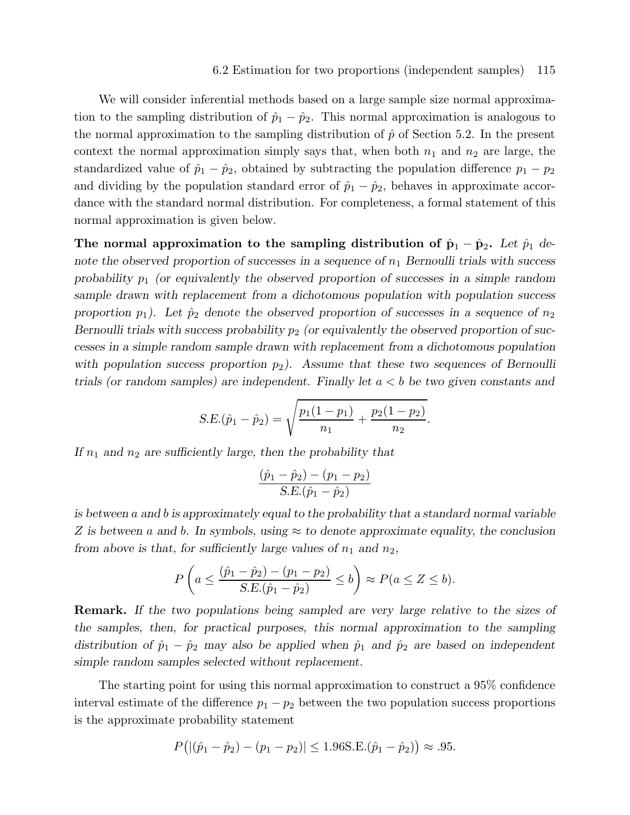We will consider inferential methods based on a large sample size normal approximation to the sampling distribution of  $\hat{p}_1 - \hat{p}_2$ . This normal approximation is analogous to the normal approximation to the sampling distribution of  $\hat{p}$  of Section 5.2. In the present context the normal approximation simply says that, when both  $n_1$  and  $n_2$  are large, the standardized value of  $\hat{p}_1 - \hat{p}_2$ , obtained by subtracting the population difference  $p_1 - p_2$ and dividing by the population standard error of  $\hat{p}_1 - \hat{p}_2$ , behaves in approximate accordance with the standard normal distribution. For completeness, a formal statement of this normal approximation is given below.

The normal approximation to the sampling distribution of  $\hat{\mathbf{p}}_1 - \hat{\mathbf{p}}_2$ . Let  $\hat{p}_1$  denote the observed proportion of successes in a sequence of  $n_1$  Bernoulli trials with success probability  $p_1$  (or equivalently the observed proportion of successes in a simple random sample drawn with replacement from a dichotomous population with population success proportion  $p_1$ ). Let  $\hat{p}_2$  denote the observed proportion of successes in a sequence of  $n_2$ Bernoulli trials with success probability  $p_2$  (or equivalently the observed proportion of successes in a simple random sample drawn with replacement from a dichotomous population with population success proportion  $p_2$ ). Assume that these two sequences of Bernoulli trials (or random samples) are independent. Finally let  $a < b$  be two given constants and

$$
S.E.(\hat{p}_1 - \hat{p}_2) = \sqrt{\frac{p_1(1 - p_1)}{n_1} + \frac{p_2(1 - p_2)}{n_2}}.
$$

If  $n_1$  and  $n_2$  are sufficiently large, then the probability that

$$
\frac{(\hat{p}_1 - \hat{p}_2) - (p_1 - p_2)}{S.E.(\hat{p}_1 - \hat{p}_2)}
$$

is between a and b is approximately equal to the probability that a standard normal variable Z is between a and b. In symbols, using  $\approx$  to denote approximate equality, the conclusion from above is that, for sufficiently large values of  $n_1$  and  $n_2$ ,

$$
P\left(a \leq \frac{(\hat{p}_1 - \hat{p}_2) - (p_1 - p_2)}{S.E.(\hat{p}_1 - \hat{p}_2)} \leq b\right) \approx P(a \leq Z \leq b).
$$

Remark. If the two populations being sampled are very large relative to the sizes of the samples, then, for practical purposes, this normal approximation to the sampling distribution of  $\hat{p}_1 - \hat{p}_2$  may also be applied when  $\hat{p}_1$  and  $\hat{p}_2$  are based on independent simple random samples selected without replacement.

The starting point for using this normal approximation to construct a 95% confidence interval estimate of the difference  $p_1 - p_2$  between the two population success proportions is the approximate probability statement

$$
P\big(|(\hat{p}_1 - \hat{p}_2) - (p_1 - p_2)| \le 1.96 \text{S.E.}(\hat{p}_1 - \hat{p}_2)\big) \approx .95.
$$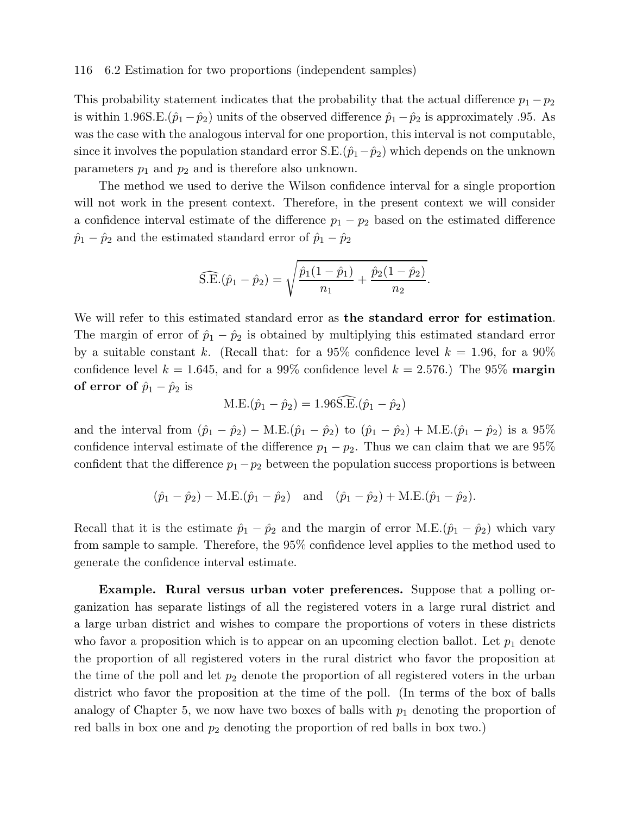#### 116 6.2 Estimation for two proportions (independent samples)

This probability statement indicates that the probability that the actual difference  $p_1 - p_2$ is within 1.96S.E. $(\hat{p}_1 - \hat{p}_2)$  units of the observed difference  $\hat{p}_1 - \hat{p}_2$  is approximately .95. As was the case with the analogous interval for one proportion, this interval is not computable, since it involves the population standard error S.E. $(\hat{p}_1-\hat{p}_2)$  which depends on the unknown parameters  $p_1$  and  $p_2$  and is therefore also unknown.

The method we used to derive the Wilson confidence interval for a single proportion will not work in the present context. Therefore, in the present context we will consider a confidence interval estimate of the difference  $p_1 - p_2$  based on the estimated difference  $\hat{p}_1 - \hat{p}_2$  and the estimated standard error of  $\hat{p}_1 - \hat{p}_2$ 

$$
\widehat{\text{S.E.}}(\hat{p}_1 - \hat{p}_2) = \sqrt{\frac{\hat{p}_1(1-\hat{p}_1)}{n_1} + \frac{\hat{p}_2(1-\hat{p}_2)}{n_2}}.
$$

We will refer to this estimated standard error as the standard error for estimation. The margin of error of  $\hat{p}_1 - \hat{p}_2$  is obtained by multiplying this estimated standard error by a suitable constant k. (Recall that: for a 95% confidence level  $k = 1.96$ , for a 90% confidence level  $k = 1.645$ , and for a 99% confidence level  $k = 2.576$ .) The 95% margin of error of  $\hat{p}_1 - \hat{p}_2$  is

$$
M.E.(\hat{p}_1 - \hat{p}_2) = 1.96 \widehat{S.E.}(\hat{p}_1 - \hat{p}_2)
$$

and the interval from  $(\hat{p}_1 - \hat{p}_2) - M.E.(\hat{p}_1 - \hat{p}_2)$  to  $(\hat{p}_1 - \hat{p}_2) + M.E.(\hat{p}_1 - \hat{p}_2)$  is a 95% confidence interval estimate of the difference  $p_1 - p_2$ . Thus we can claim that we are 95% confident that the difference  $p_1-p_2$  between the population success proportions is between

$$
(\hat{p}_1 - \hat{p}_2) - M.E.(\hat{p}_1 - \hat{p}_2)
$$
 and  $(\hat{p}_1 - \hat{p}_2) + M.E.(\hat{p}_1 - \hat{p}_2)$ .

Recall that it is the estimate  $\hat{p}_1 - \hat{p}_2$  and the margin of error M.E. $(\hat{p}_1 - \hat{p}_2)$  which vary from sample to sample. Therefore, the 95% confidence level applies to the method used to generate the confidence interval estimate.

Example. Rural versus urban voter preferences. Suppose that a polling organization has separate listings of all the registered voters in a large rural district and a large urban district and wishes to compare the proportions of voters in these districts who favor a proposition which is to appear on an upcoming election ballot. Let  $p_1$  denote the proportion of all registered voters in the rural district who favor the proposition at the time of the poll and let  $p_2$  denote the proportion of all registered voters in the urban district who favor the proposition at the time of the poll. (In terms of the box of balls analogy of Chapter 5, we now have two boxes of balls with  $p_1$  denoting the proportion of red balls in box one and  $p_2$  denoting the proportion of red balls in box two.)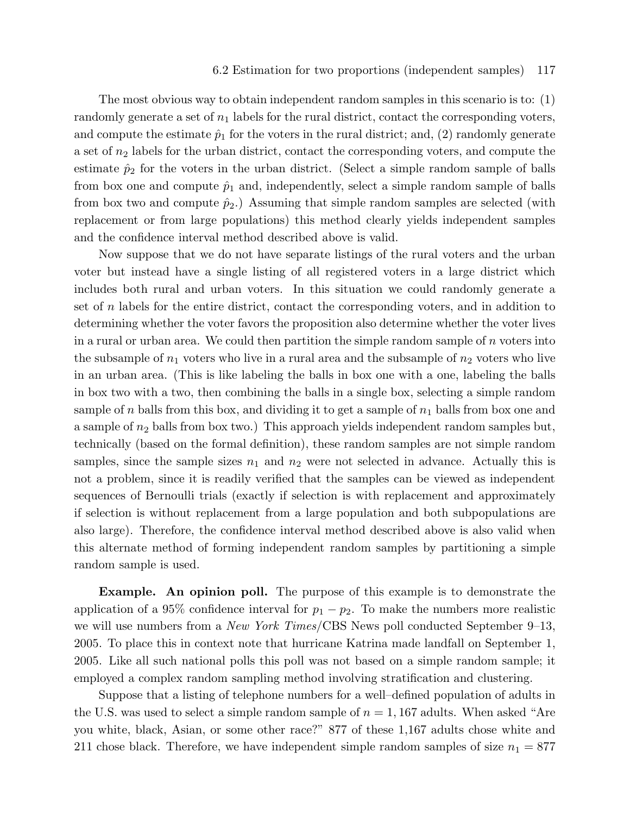#### 6.2 Estimation for two proportions (independent samples) 117

The most obvious way to obtain independent random samples in this scenario is to: (1) randomly generate a set of  $n_1$  labels for the rural district, contact the corresponding voters, and compute the estimate  $\hat{p}_1$  for the voters in the rural district; and, (2) randomly generate a set of  $n_2$  labels for the urban district, contact the corresponding voters, and compute the estimate  $\hat{p}_2$  for the voters in the urban district. (Select a simple random sample of balls from box one and compute  $\hat{p}_1$  and, independently, select a simple random sample of balls from box two and compute  $\hat{p}_2$ .) Assuming that simple random samples are selected (with replacement or from large populations) this method clearly yields independent samples and the confidence interval method described above is valid.

Now suppose that we do not have separate listings of the rural voters and the urban voter but instead have a single listing of all registered voters in a large district which includes both rural and urban voters. In this situation we could randomly generate a set of  $n$  labels for the entire district, contact the corresponding voters, and in addition to determining whether the voter favors the proposition also determine whether the voter lives in a rural or urban area. We could then partition the simple random sample of  $n$  voters into the subsample of  $n_1$  voters who live in a rural area and the subsample of  $n_2$  voters who live in an urban area. (This is like labeling the balls in box one with a one, labeling the balls in box two with a two, then combining the balls in a single box, selecting a simple random sample of n balls from this box, and dividing it to get a sample of  $n_1$  balls from box one and a sample of  $n_2$  balls from box two.) This approach yields independent random samples but, technically (based on the formal definition), these random samples are not simple random samples, since the sample sizes  $n_1$  and  $n_2$  were not selected in advance. Actually this is not a problem, since it is readily verified that the samples can be viewed as independent sequences of Bernoulli trials (exactly if selection is with replacement and approximately if selection is without replacement from a large population and both subpopulations are also large). Therefore, the confidence interval method described above is also valid when this alternate method of forming independent random samples by partitioning a simple random sample is used.

Example. An opinion poll. The purpose of this example is to demonstrate the application of a 95% confidence interval for  $p_1 - p_2$ . To make the numbers more realistic we will use numbers from a *New York Times/CBS* News poll conducted September 9–13, 2005. To place this in context note that hurricane Katrina made landfall on September 1, 2005. Like all such national polls this poll was not based on a simple random sample; it employed a complex random sampling method involving stratification and clustering.

Suppose that a listing of telephone numbers for a well–defined population of adults in the U.S. was used to select a simple random sample of  $n = 1,167$  adults. When asked "Are you white, black, Asian, or some other race?" 877 of these 1,167 adults chose white and 211 chose black. Therefore, we have independent simple random samples of size  $n_1 = 877$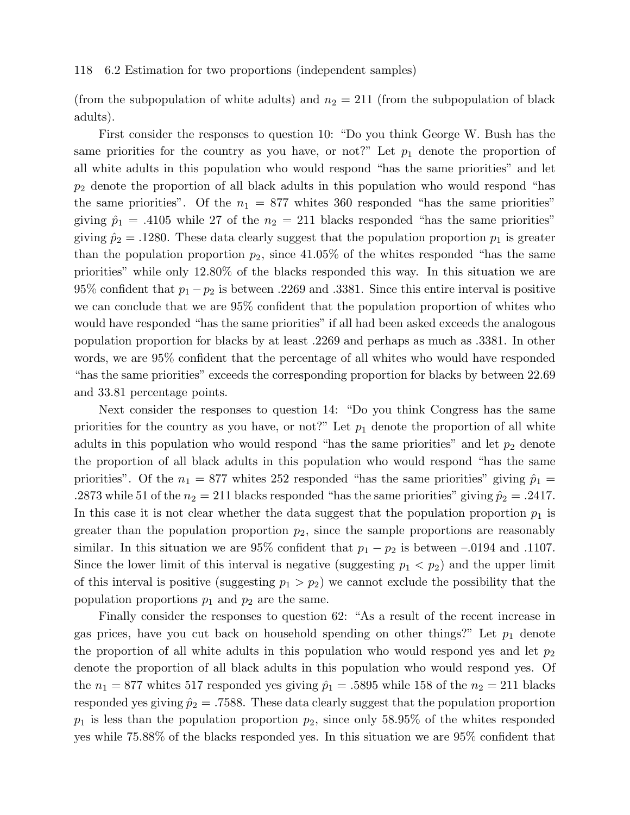#### 118 6.2 Estimation for two proportions (independent samples)

(from the subpopulation of white adults) and  $n_2 = 211$  (from the subpopulation of black adults).

First consider the responses to question 10: "Do you think George W. Bush has the same priorities for the country as you have, or not?" Let  $p_1$  denote the proportion of all white adults in this population who would respond "has the same priorities" and let  $p_2$  denote the proportion of all black adults in this population who would respond "has the same priorities". Of the  $n_1 = 877$  whites 360 responded "has the same priorities" giving  $\hat{p}_1 = .4105$  while 27 of the  $n_2 = 211$  blacks responded "has the same priorities" giving  $\hat{p}_2 = .1280$ . These data clearly suggest that the population proportion  $p_1$  is greater than the population proportion  $p_2$ , since 41.05% of the whites responded "has the same priorities" while only 12.80% of the blacks responded this way. In this situation we are 95% confident that  $p_1 - p_2$  is between .2269 and .3381. Since this entire interval is positive we can conclude that we are 95% confident that the population proportion of whites who would have responded "has the same priorities" if all had been asked exceeds the analogous population proportion for blacks by at least .2269 and perhaps as much as .3381. In other words, we are 95% confident that the percentage of all whites who would have responded "has the same priorities" exceeds the corresponding proportion for blacks by between 22.69 and 33.81 percentage points.

Next consider the responses to question 14: "Do you think Congress has the same priorities for the country as you have, or not?" Let  $p_1$  denote the proportion of all white adults in this population who would respond "has the same priorities" and let  $p_2$  denote the proportion of all black adults in this population who would respond "has the same priorities". Of the  $n_1 = 877$  whites 252 responded "has the same priorities" giving  $\hat{p}_1$  = .2873 while 51 of the  $n_2 = 211$  blacks responded "has the same priorities" giving  $\hat{p}_2 = .2417$ . In this case it is not clear whether the data suggest that the population proportion  $p_1$  is greater than the population proportion  $p_2$ , since the sample proportions are reasonably similar. In this situation we are 95% confident that  $p_1 - p_2$  is between -.0194 and .1107. Since the lower limit of this interval is negative (suggesting  $p_1 < p_2$ ) and the upper limit of this interval is positive (suggesting  $p_1 > p_2$ ) we cannot exclude the possibility that the population proportions  $p_1$  and  $p_2$  are the same.

Finally consider the responses to question 62: "As a result of the recent increase in gas prices, have you cut back on household spending on other things?" Let  $p_1$  denote the proportion of all white adults in this population who would respond yes and let  $p_2$ denote the proportion of all black adults in this population who would respond yes. Of the  $n_1 = 877$  whites 517 responded yes giving  $\hat{p}_1 = .5895$  while 158 of the  $n_2 = 211$  blacks responded yes giving  $\hat{p}_2 = .7588$ . These data clearly suggest that the population proportion  $p_1$  is less than the population proportion  $p_2$ , since only 58.95% of the whites responded yes while 75.88% of the blacks responded yes. In this situation we are 95% confident that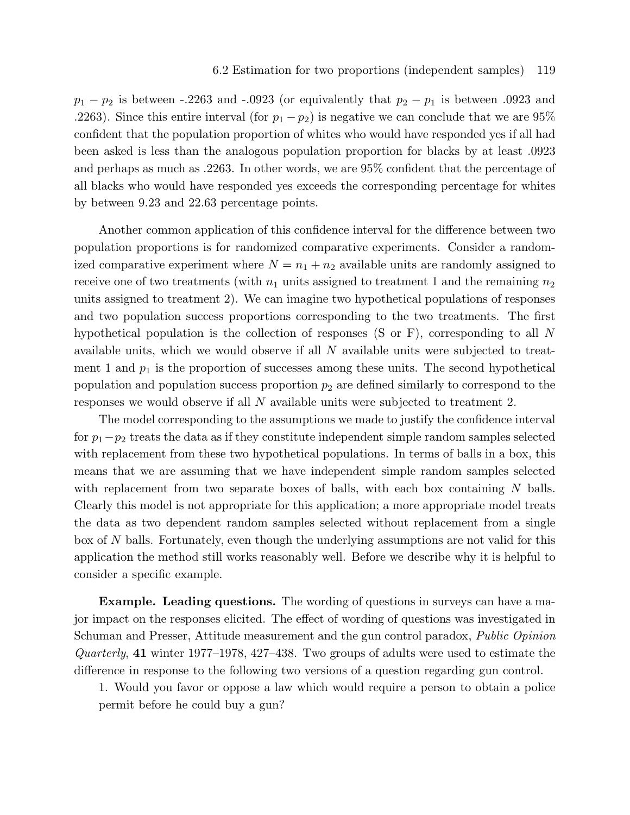$p_1 - p_2$  is between -.2263 and -.0923 (or equivalently that  $p_2 - p_1$  is between .0923 and .2263). Since this entire interval (for  $p_1 - p_2$ ) is negative we can conclude that we are 95% confident that the population proportion of whites who would have responded yes if all had been asked is less than the analogous population proportion for blacks by at least .0923 and perhaps as much as .2263. In other words, we are 95% confident that the percentage of all blacks who would have responded yes exceeds the corresponding percentage for whites by between 9.23 and 22.63 percentage points.

Another common application of this confidence interval for the difference between two population proportions is for randomized comparative experiments. Consider a randomized comparative experiment where  $N = n_1 + n_2$  available units are randomly assigned to receive one of two treatments (with  $n_1$  units assigned to treatment 1 and the remaining  $n_2$ units assigned to treatment 2). We can imagine two hypothetical populations of responses and two population success proportions corresponding to the two treatments. The first hypothetical population is the collection of responses (S or F), corresponding to all N available units, which we would observe if all N available units were subjected to treatment 1 and  $p_1$  is the proportion of successes among these units. The second hypothetical population and population success proportion  $p_2$  are defined similarly to correspond to the responses we would observe if all N available units were subjected to treatment 2.

The model corresponding to the assumptions we made to justify the confidence interval for  $p_1-p_2$  treats the data as if they constitute independent simple random samples selected with replacement from these two hypothetical populations. In terms of balls in a box, this means that we are assuming that we have independent simple random samples selected with replacement from two separate boxes of balls, with each box containing  $N$  balls. Clearly this model is not appropriate for this application; a more appropriate model treats the data as two dependent random samples selected without replacement from a single box of N balls. Fortunately, even though the underlying assumptions are not valid for this application the method still works reasonably well. Before we describe why it is helpful to consider a specific example.

Example. Leading questions. The wording of questions in surveys can have a major impact on the responses elicited. The effect of wording of questions was investigated in Schuman and Presser, Attitude measurement and the gun control paradox, Public Opinion Quarterly, 41 winter 1977–1978, 427–438. Two groups of adults were used to estimate the difference in response to the following two versions of a question regarding gun control.

1. Would you favor or oppose a law which would require a person to obtain a police permit before he could buy a gun?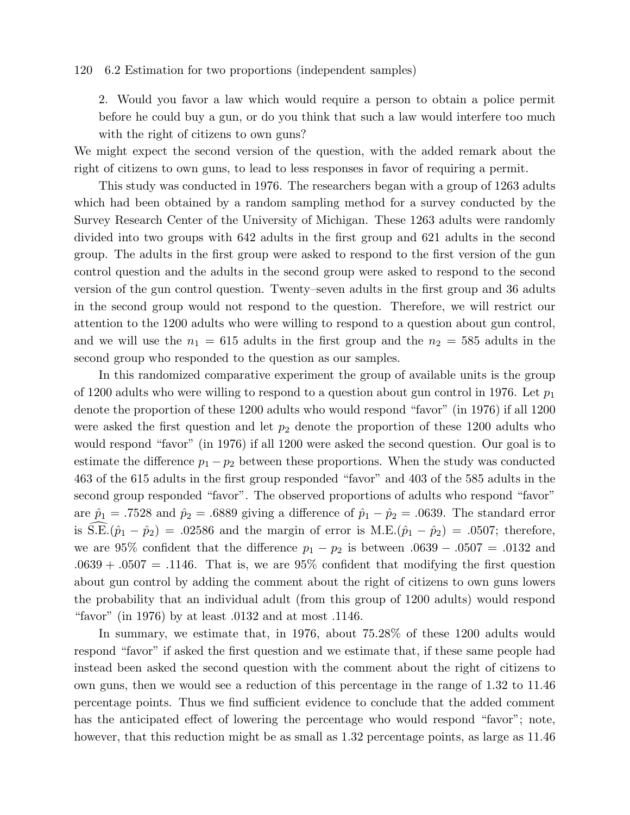#### 120 6.2 Estimation for two proportions (independent samples)

2. Would you favor a law which would require a person to obtain a police permit before he could buy a gun, or do you think that such a law would interfere too much with the right of citizens to own guns?

We might expect the second version of the question, with the added remark about the right of citizens to own guns, to lead to less responses in favor of requiring a permit.

This study was conducted in 1976. The researchers began with a group of 1263 adults which had been obtained by a random sampling method for a survey conducted by the Survey Research Center of the University of Michigan. These 1263 adults were randomly divided into two groups with 642 adults in the first group and 621 adults in the second group. The adults in the first group were asked to respond to the first version of the gun control question and the adults in the second group were asked to respond to the second version of the gun control question. Twenty–seven adults in the first group and 36 adults in the second group would not respond to the question. Therefore, we will restrict our attention to the 1200 adults who were willing to respond to a question about gun control, and we will use the  $n_1 = 615$  adults in the first group and the  $n_2 = 585$  adults in the second group who responded to the question as our samples.

In this randomized comparative experiment the group of available units is the group of 1200 adults who were willing to respond to a question about gun control in 1976. Let  $p_1$ denote the proportion of these 1200 adults who would respond "favor" (in 1976) if all 1200 were asked the first question and let  $p_2$  denote the proportion of these 1200 adults who would respond "favor" (in 1976) if all 1200 were asked the second question. Our goal is to estimate the difference  $p_1 - p_2$  between these proportions. When the study was conducted 463 of the 615 adults in the first group responded "favor" and 403 of the 585 adults in the second group responded "favor". The observed proportions of adults who respond "favor" are  $\hat{p}_1 = .7528$  and  $\hat{p}_2 = .6889$  giving a difference of  $\hat{p}_1 - \hat{p}_2 = .0639$ . The standard error is  $\hat{S}.\hat{E}.(\hat{p}_1 - \hat{p}_2) = .02586$  and the margin of error is M.E. $(\hat{p}_1 - \hat{p}_2) = .0507$ ; therefore, we are 95% confident that the difference  $p_1 - p_2$  is between .0639 – .0507 = .0132 and  $.0639 + .0507 = .1146$ . That is, we are 95% confident that modifying the first question about gun control by adding the comment about the right of citizens to own guns lowers the probability that an individual adult (from this group of 1200 adults) would respond "favor" (in 1976) by at least .0132 and at most .1146.

In summary, we estimate that, in 1976, about 75.28% of these 1200 adults would respond "favor" if asked the first question and we estimate that, if these same people had instead been asked the second question with the comment about the right of citizens to own guns, then we would see a reduction of this percentage in the range of 1.32 to 11.46 percentage points. Thus we find sufficient evidence to conclude that the added comment has the anticipated effect of lowering the percentage who would respond "favor"; note, however, that this reduction might be as small as 1.32 percentage points, as large as 11.46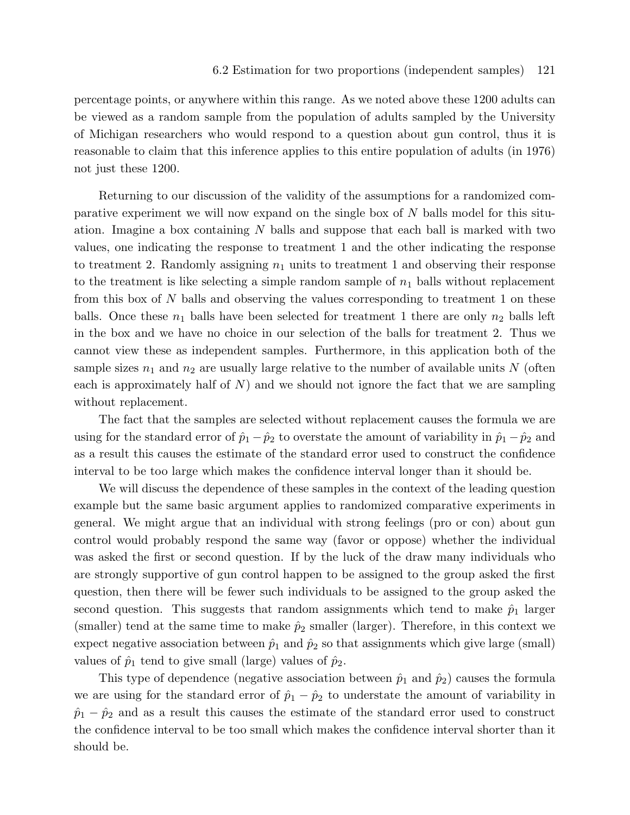percentage points, or anywhere within this range. As we noted above these 1200 adults can be viewed as a random sample from the population of adults sampled by the University of Michigan researchers who would respond to a question about gun control, thus it is reasonable to claim that this inference applies to this entire population of adults (in 1976) not just these 1200.

Returning to our discussion of the validity of the assumptions for a randomized comparative experiment we will now expand on the single box of  $N$  balls model for this situation. Imagine a box containing  $N$  balls and suppose that each ball is marked with two values, one indicating the response to treatment 1 and the other indicating the response to treatment 2. Randomly assigning  $n_1$  units to treatment 1 and observing their response to the treatment is like selecting a simple random sample of  $n_1$  balls without replacement from this box of N balls and observing the values corresponding to treatment 1 on these balls. Once these  $n_1$  balls have been selected for treatment 1 there are only  $n_2$  balls left in the box and we have no choice in our selection of the balls for treatment 2. Thus we cannot view these as independent samples. Furthermore, in this application both of the sample sizes  $n_1$  and  $n_2$  are usually large relative to the number of available units N (often each is approximately half of  $N$ ) and we should not ignore the fact that we are sampling without replacement.

The fact that the samples are selected without replacement causes the formula we are using for the standard error of  $\hat{p}_1 - \hat{p}_2$  to overstate the amount of variability in  $\hat{p}_1 - \hat{p}_2$  and as a result this causes the estimate of the standard error used to construct the confidence interval to be too large which makes the confidence interval longer than it should be.

We will discuss the dependence of these samples in the context of the leading question example but the same basic argument applies to randomized comparative experiments in general. We might argue that an individual with strong feelings (pro or con) about gun control would probably respond the same way (favor or oppose) whether the individual was asked the first or second question. If by the luck of the draw many individuals who are strongly supportive of gun control happen to be assigned to the group asked the first question, then there will be fewer such individuals to be assigned to the group asked the second question. This suggests that random assignments which tend to make  $\hat{p}_1$  larger (smaller) tend at the same time to make  $\hat{p}_2$  smaller (larger). Therefore, in this context we expect negative association between  $\hat{p}_1$  and  $\hat{p}_2$  so that assignments which give large (small) values of  $\hat{p}_1$  tend to give small (large) values of  $\hat{p}_2$ .

This type of dependence (negative association between  $\hat{p}_1$  and  $\hat{p}_2$ ) causes the formula we are using for the standard error of  $\hat{p}_1 - \hat{p}_2$  to understate the amount of variability in  $\hat{p}_1 - \hat{p}_2$  and as a result this causes the estimate of the standard error used to construct the confidence interval to be too small which makes the confidence interval shorter than it should be.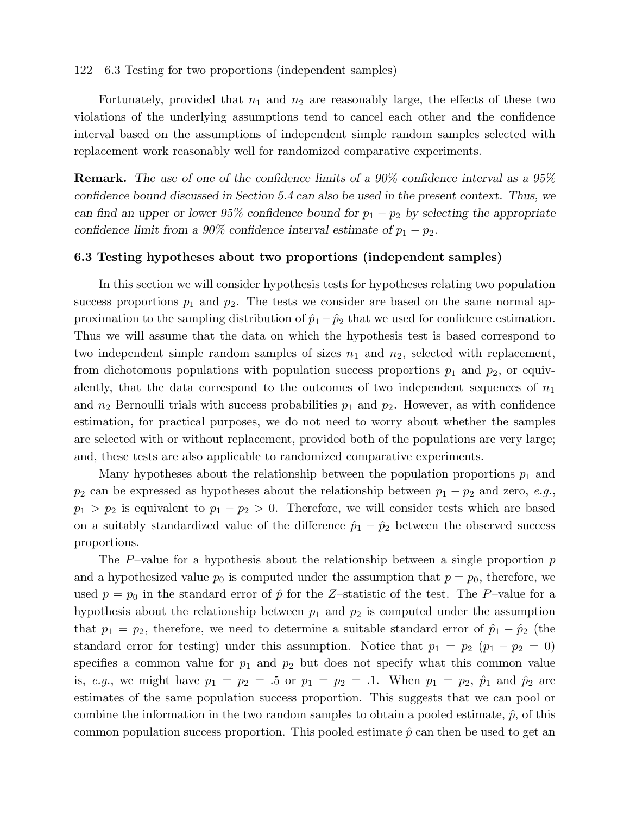122 6.3 Testing for two proportions (independent samples)

Fortunately, provided that  $n_1$  and  $n_2$  are reasonably large, the effects of these two violations of the underlying assumptions tend to cancel each other and the confidence interval based on the assumptions of independent simple random samples selected with replacement work reasonably well for randomized comparative experiments.

Remark. The use of one of the confidence limits of a 90% confidence interval as a 95% confidence bound discussed in Section 5.4 can also be used in the present context. Thus, we can find an upper or lower 95% confidence bound for  $p_1 - p_2$  by selecting the appropriate confidence limit from a 90% confidence interval estimate of  $p_1 - p_2$ .

# 6.3 Testing hypotheses about two proportions (independent samples)

In this section we will consider hypothesis tests for hypotheses relating two population success proportions  $p_1$  and  $p_2$ . The tests we consider are based on the same normal approximation to the sampling distribution of  $\hat{p}_1 - \hat{p}_2$  that we used for confidence estimation. Thus we will assume that the data on which the hypothesis test is based correspond to two independent simple random samples of sizes  $n_1$  and  $n_2$ , selected with replacement, from dichotomous populations with population success proportions  $p_1$  and  $p_2$ , or equivalently, that the data correspond to the outcomes of two independent sequences of  $n_1$ and  $n_2$  Bernoulli trials with success probabilities  $p_1$  and  $p_2$ . However, as with confidence estimation, for practical purposes, we do not need to worry about whether the samples are selected with or without replacement, provided both of the populations are very large; and, these tests are also applicable to randomized comparative experiments.

Many hypotheses about the relationship between the population proportions  $p_1$  and  $p_2$  can be expressed as hypotheses about the relationship between  $p_1 - p_2$  and zero, e.g.,  $p_1 > p_2$  is equivalent to  $p_1 - p_2 > 0$ . Therefore, we will consider tests which are based on a suitably standardized value of the difference  $\hat{p}_1 - \hat{p}_2$  between the observed success proportions.

The P–value for a hypothesis about the relationship between a single proportion  $p$ and a hypothesized value  $p_0$  is computed under the assumption that  $p = p_0$ , therefore, we used  $p = p_0$  in the standard error of  $\hat{p}$  for the Z-statistic of the test. The P-value for a hypothesis about the relationship between  $p_1$  and  $p_2$  is computed under the assumption that  $p_1 = p_2$ , therefore, we need to determine a suitable standard error of  $\hat{p}_1 - \hat{p}_2$  (the standard error for testing) under this assumption. Notice that  $p_1 = p_2$  ( $p_1 - p_2 = 0$ ) specifies a common value for  $p_1$  and  $p_2$  but does not specify what this common value is, e.g., we might have  $p_1 = p_2 = .5$  or  $p_1 = p_2 = .1$ . When  $p_1 = p_2$ ,  $\hat{p}_1$  and  $\hat{p}_2$  are estimates of the same population success proportion. This suggests that we can pool or combine the information in the two random samples to obtain a pooled estimate,  $\hat{p}$ , of this common population success proportion. This pooled estimate  $\hat{p}$  can then be used to get an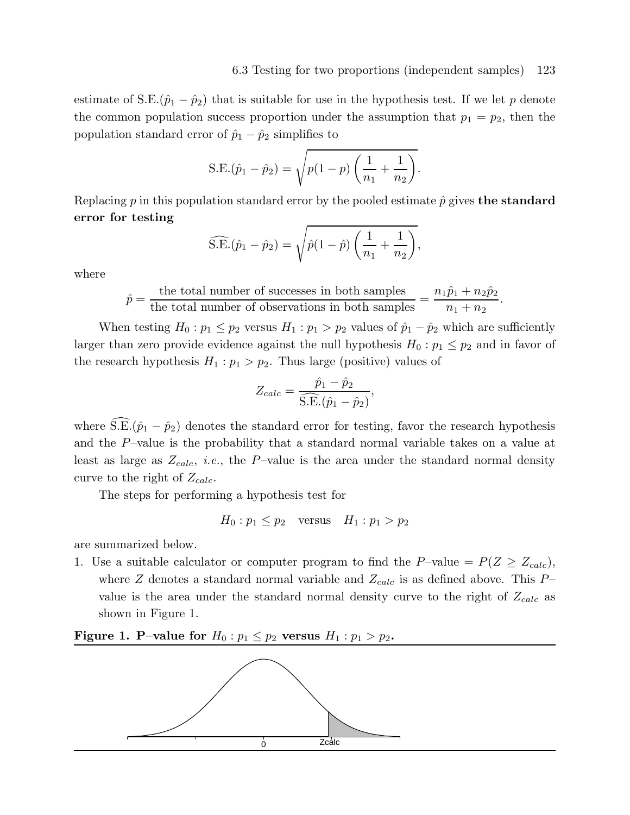estimate of S.E. $(\hat{p}_1 - \hat{p}_2)$  that is suitable for use in the hypothesis test. If we let p denote the common population success proportion under the assumption that  $p_1 = p_2$ , then the population standard error of  $\hat{p}_1 - \hat{p}_2$  simplifies to

S.E.
$$
(\hat{p}_1 - \hat{p}_2) = \sqrt{p(1-p)\left(\frac{1}{n_1} + \frac{1}{n_2}\right)}
$$
.

Replacing p in this population standard error by the pooled estimate  $\hat{p}$  gives the standard error for testing

$$
\widehat{\text{S.E.}}(\hat{p}_1 - \hat{p}_2) = \sqrt{\hat{p}(1-\hat{p})\left(\frac{1}{n_1} + \frac{1}{n_2}\right)},
$$

where

$$
\hat{p} = \frac{\text{the total number of successes in both samples}}{\text{the total number of observations in both samples}} = \frac{n_1 \hat{p}_1 + n_2 \hat{p}_2}{n_1 + n_2}.
$$

When testing  $H_0: p_1 \leq p_2$  versus  $H_1: p_1 > p_2$  values of  $\hat{p}_1 - \hat{p}_2$  which are sufficiently larger than zero provide evidence against the null hypothesis  $H_0: p_1 \leq p_2$  and in favor of the research hypothesis  $H_1: p_1 > p_2$ . Thus large (positive) values of

$$
Z_{calc} = \frac{\hat{p}_1 - \hat{p}_2}{\widehat{S.E.}(\hat{p}_1 - \hat{p}_2)},
$$

where  $\widehat{\text{S.E.}}(\hat{p}_1 - \hat{p}_2)$  denotes the standard error for testing, favor the research hypothesis and the P–value is the probability that a standard normal variable takes on a value at least as large as  $Z_{calc}$ , *i.e.*, the P-value is the area under the standard normal density curve to the right of  $Z_{calc}$ .

The steps for performing a hypothesis test for

$$
H_0: p_1 \le p_2 \quad \text{versus} \quad H_1: p_1 > p_2
$$

are summarized below.

1. Use a suitable calculator or computer program to find the P–value =  $P(Z \geq Z_{calc})$ , where Z denotes a standard normal variable and  $Z_{calc}$  is as defined above. This  $P$ value is the area under the standard normal density curve to the right of  $Z_{calc}$  as shown in Figure 1.

# Figure 1. P–value for  $H_0: p_1 \leq p_2$  versus  $H_1: p_1 > p_2$ .

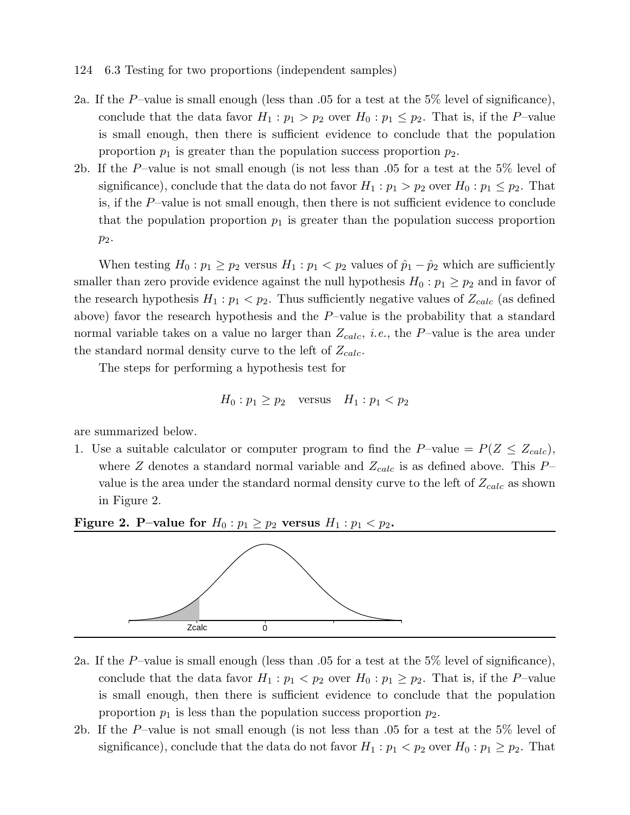- 124 6.3 Testing for two proportions (independent samples)
- 2a. If the P-value is small enough (less than .05 for a test at the 5% level of significance), conclude that the data favor  $H_1 : p_1 > p_2$  over  $H_0 : p_1 \leq p_2$ . That is, if the P-value is small enough, then there is sufficient evidence to conclude that the population proportion  $p_1$  is greater than the population success proportion  $p_2$ .
- 2b. If the P–value is not small enough (is not less than .05 for a test at the 5% level of significance), conclude that the data do not favor  $H_1 : p_1 > p_2$  over  $H_0 : p_1 \leq p_2$ . That is, if the P–value is not small enough, then there is not sufficient evidence to conclude that the population proportion  $p_1$  is greater than the population success proportion p2.

When testing  $H_0: p_1 \geq p_2$  versus  $H_1: p_1 < p_2$  values of  $\hat{p}_1 - \hat{p}_2$  which are sufficiently smaller than zero provide evidence against the null hypothesis  $H_0: p_1 \geq p_2$  and in favor of the research hypothesis  $H_1: p_1 < p_2$ . Thus sufficiently negative values of  $Z_{calc}$  (as defined above) favor the research hypothesis and the P–value is the probability that a standard normal variable takes on a value no larger than  $Z_{calc}$ , *i.e.*, the P–value is the area under the standard normal density curve to the left of  $Z_{calc}$ .

The steps for performing a hypothesis test for

$$
H_0: p_1 \ge p_2 \quad \text{versus} \quad H_1: p_1 < p_2
$$

are summarized below.

1. Use a suitable calculator or computer program to find the P–value  $= P(Z \leq Z_{calc})$ , where Z denotes a standard normal variable and  $Z_{calc}$  is as defined above. This  $P$ value is the area under the standard normal density curve to the left of  $Z_{calc}$  as shown in Figure 2.

Figure 2. P–value for  $H_0: p_1 \geq p_2$  versus  $H_1: p_1 < p_2$ .



- 2a. If the P–value is small enough (less than  $.05$  for a test at the 5% level of significance), conclude that the data favor  $H_1: p_1 < p_2$  over  $H_0: p_1 \geq p_2$ . That is, if the P-value is small enough, then there is sufficient evidence to conclude that the population proportion  $p_1$  is less than the population success proportion  $p_2$ .
- 2b. If the P–value is not small enough (is not less than .05 for a test at the 5% level of significance), conclude that the data do not favor  $H_1: p_1 < p_2$  over  $H_0: p_1 \geq p_2$ . That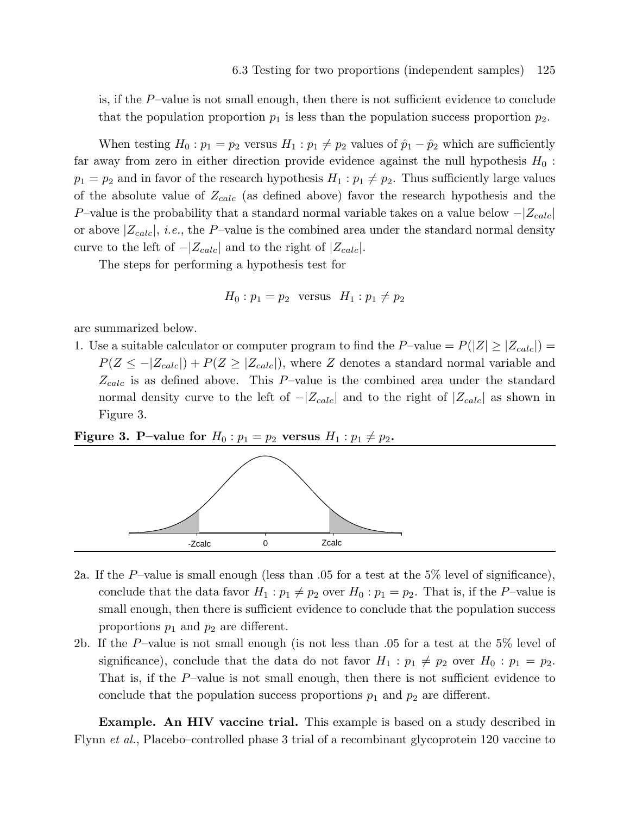is, if the  $P$ -value is not small enough, then there is not sufficient evidence to conclude that the population proportion  $p_1$  is less than the population success proportion  $p_2$ .

When testing  $H_0: p_1 = p_2$  versus  $H_1: p_1 \neq p_2$  values of  $\hat{p}_1 - \hat{p}_2$  which are sufficiently far away from zero in either direction provide evidence against the null hypothesis  $H_0$ :  $p_1 = p_2$  and in favor of the research hypothesis  $H_1 : p_1 \neq p_2$ . Thus sufficiently large values of the absolute value of  $Z_{calc}$  (as defined above) favor the research hypothesis and the P–value is the probability that a standard normal variable takes on a value below  $-|Z_{calc}|$ or above  $|Z_{calc}|$ , *i.e.*, the P-value is the combined area under the standard normal density curve to the left of  $-|Z_{calc}|$  and to the right of  $|Z_{calc}|$ .

The steps for performing a hypothesis test for

$$
H_0: p_1 = p_2 \quad \text{versus} \quad H_1: p_1 \neq p_2
$$

are summarized below.

1. Use a suitable calculator or computer program to find the P–value  $= P(|Z| \geq |Z_{calc}|)$  $P(Z \leq -|Z_{calc}|) + P(Z \geq |Z_{calc}|)$ , where Z denotes a standard normal variable and  $Z_{calc}$  is as defined above. This P–value is the combined area under the standard normal density curve to the left of  $-|Z_{calc}|$  and to the right of  $|Z_{calc}|$  as shown in Figure 3.

Figure 3. P–value for  $H_0: p_1 = p_2$  versus  $H_1: p_1 \neq p_2$ .



- 2a. If the P–value is small enough (less than  $.05$  for a test at the 5% level of significance), conclude that the data favor  $H_1 : p_1 \neq p_2$  over  $H_0 : p_1 = p_2$ . That is, if the P-value is small enough, then there is sufficient evidence to conclude that the population success proportions  $p_1$  and  $p_2$  are different.
- 2b. If the P–value is not small enough (is not less than .05 for a test at the 5% level of significance), conclude that the data do not favor  $H_1 : p_1 \neq p_2$  over  $H_0 : p_1 = p_2$ . That is, if the P–value is not small enough, then there is not sufficient evidence to conclude that the population success proportions  $p_1$  and  $p_2$  are different.

**Example. An HIV vaccine trial.** This example is based on a study described in Flynn et al., Placebo–controlled phase 3 trial of a recombinant glycoprotein 120 vaccine to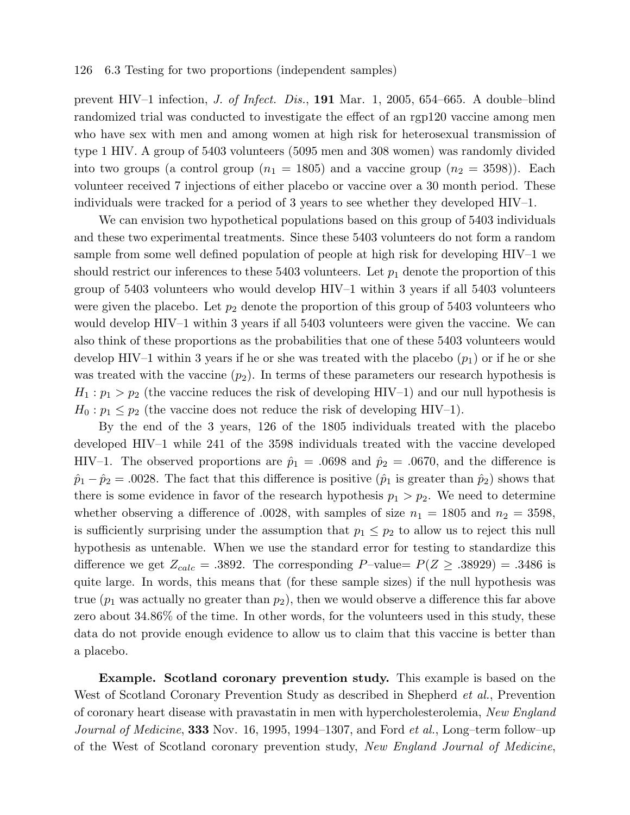#### 126 6.3 Testing for two proportions (independent samples)

prevent HIV–1 infection, J. of Infect. Dis., 191 Mar. 1, 2005, 654–665. A double–blind randomized trial was conducted to investigate the effect of an rgp120 vaccine among men who have sex with men and among women at high risk for heterosexual transmission of type 1 HIV. A group of 5403 volunteers (5095 men and 308 women) was randomly divided into two groups (a control group  $(n_1 = 1805)$  and a vaccine group  $(n_2 = 3598)$ ). Each volunteer received 7 injections of either placebo or vaccine over a 30 month period. These individuals were tracked for a period of 3 years to see whether they developed HIV–1.

We can envision two hypothetical populations based on this group of 5403 individuals and these two experimental treatments. Since these 5403 volunteers do not form a random sample from some well defined population of people at high risk for developing HIV–1 we should restrict our inferences to these  $5403$  volunteers. Let  $p_1$  denote the proportion of this group of 5403 volunteers who would develop HIV–1 within 3 years if all 5403 volunteers were given the placebo. Let  $p_2$  denote the proportion of this group of 5403 volunteers who would develop HIV–1 within 3 years if all 5403 volunteers were given the vaccine. We can also think of these proportions as the probabilities that one of these 5403 volunteers would develop HIV–1 within 3 years if he or she was treated with the placebo  $(p_1)$  or if he or she was treated with the vaccine  $(p_2)$ . In terms of these parameters our research hypothesis is  $H_1: p_1 > p_2$  (the vaccine reduces the risk of developing HIV–1) and our null hypothesis is  $H_0: p_1 \leq p_2$  (the vaccine does not reduce the risk of developing HIV–1).

By the end of the 3 years, 126 of the 1805 individuals treated with the placebo developed HIV–1 while 241 of the 3598 individuals treated with the vaccine developed HIV–1. The observed proportions are  $\hat{p}_1 = .0698$  and  $\hat{p}_2 = .0670$ , and the difference is  $\hat{p}_1 - \hat{p}_2 = .0028$ . The fact that this difference is positive  $(\hat{p}_1$  is greater than  $\hat{p}_2$ ) shows that there is some evidence in favor of the research hypothesis  $p_1 > p_2$ . We need to determine whether observing a difference of .0028, with samples of size  $n_1 = 1805$  and  $n_2 = 3598$ , is sufficiently surprising under the assumption that  $p_1 \leq p_2$  to allow us to reject this null hypothesis as untenable. When we use the standard error for testing to standardize this difference we get  $Z_{calc} = .3892$ . The corresponding P-value=  $P(Z \ge .38929) = .3486$  is quite large. In words, this means that (for these sample sizes) if the null hypothesis was true  $(p_1$  was actually no greater than  $p_2$ ), then we would observe a difference this far above zero about 34.86% of the time. In other words, for the volunteers used in this study, these data do not provide enough evidence to allow us to claim that this vaccine is better than a placebo.

Example. Scotland coronary prevention study. This example is based on the West of Scotland Coronary Prevention Study as described in Shepherd *et al.*, Prevention of coronary heart disease with pravastatin in men with hypercholesterolemia, New England Journal of Medicine, 333 Nov. 16, 1995, 1994–1307, and Ford et al., Long-term follow-up of the West of Scotland coronary prevention study, New England Journal of Medicine,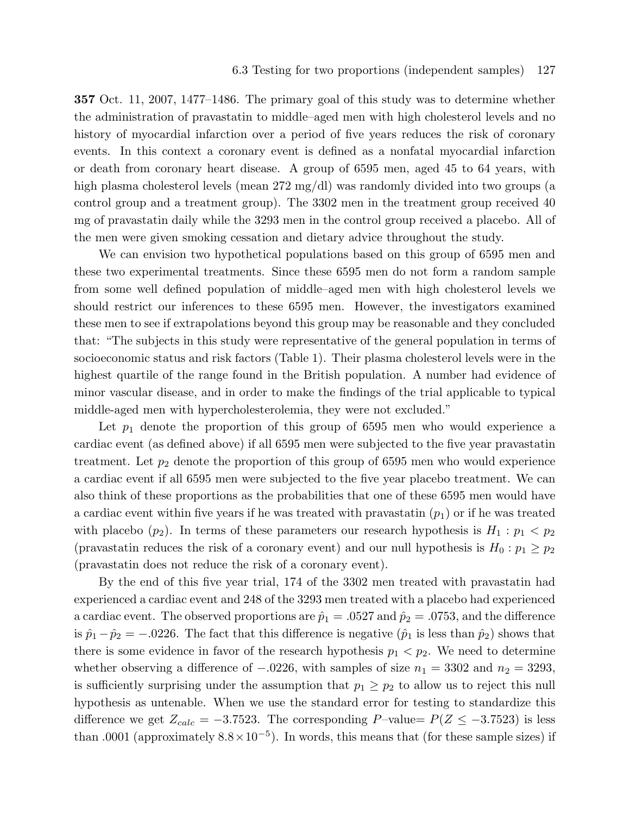357 Oct. 11, 2007, 1477–1486. The primary goal of this study was to determine whether the administration of pravastatin to middle–aged men with high cholesterol levels and no history of myocardial infarction over a period of five years reduces the risk of coronary events. In this context a coronary event is defined as a nonfatal myocardial infarction or death from coronary heart disease. A group of 6595 men, aged 45 to 64 years, with high plasma cholesterol levels (mean 272 mg/dl) was randomly divided into two groups (a control group and a treatment group). The 3302 men in the treatment group received 40 mg of pravastatin daily while the 3293 men in the control group received a placebo. All of the men were given smoking cessation and dietary advice throughout the study.

We can envision two hypothetical populations based on this group of 6595 men and these two experimental treatments. Since these 6595 men do not form a random sample from some well defined population of middle–aged men with high cholesterol levels we should restrict our inferences to these 6595 men. However, the investigators examined these men to see if extrapolations beyond this group may be reasonable and they concluded that: "The subjects in this study were representative of the general population in terms of socioeconomic status and risk factors (Table 1). Their plasma cholesterol levels were in the highest quartile of the range found in the British population. A number had evidence of minor vascular disease, and in order to make the findings of the trial applicable to typical middle-aged men with hypercholesterolemia, they were not excluded."

Let  $p_1$  denote the proportion of this group of 6595 men who would experience a cardiac event (as defined above) if all 6595 men were subjected to the five year pravastatin treatment. Let  $p_2$  denote the proportion of this group of 6595 men who would experience a cardiac event if all 6595 men were subjected to the five year placebo treatment. We can also think of these proportions as the probabilities that one of these 6595 men would have a cardiac event within five years if he was treated with pravastatin  $(p_1)$  or if he was treated with placebo  $(p_2)$ . In terms of these parameters our research hypothesis is  $H_1 : p_1 < p_2$ (pravastatin reduces the risk of a coronary event) and our null hypothesis is  $H_0: p_1 \geq p_2$ (pravastatin does not reduce the risk of a coronary event).

By the end of this five year trial, 174 of the 3302 men treated with pravastatin had experienced a cardiac event and 248 of the 3293 men treated with a placebo had experienced a cardiac event. The observed proportions are  $\hat{p}_1 = .0527$  and  $\hat{p}_2 = .0753$ , and the difference is  $\hat{p}_1 - \hat{p}_2 = -.0226$ . The fact that this difference is negative  $(\hat{p}_1$  is less than  $\hat{p}_2$ ) shows that there is some evidence in favor of the research hypothesis  $p_1 < p_2$ . We need to determine whether observing a difference of  $-.0226$ , with samples of size  $n_1 = 3302$  and  $n_2 = 3293$ , is sufficiently surprising under the assumption that  $p_1 \geq p_2$  to allow us to reject this null hypothesis as untenable. When we use the standard error for testing to standardize this difference we get  $Z_{calc} = -3.7523$ . The corresponding P–value=  $P(Z \le -3.7523)$  is less than .0001 (approximately  $8.8 \times 10^{-5}$ ). In words, this means that (for these sample sizes) if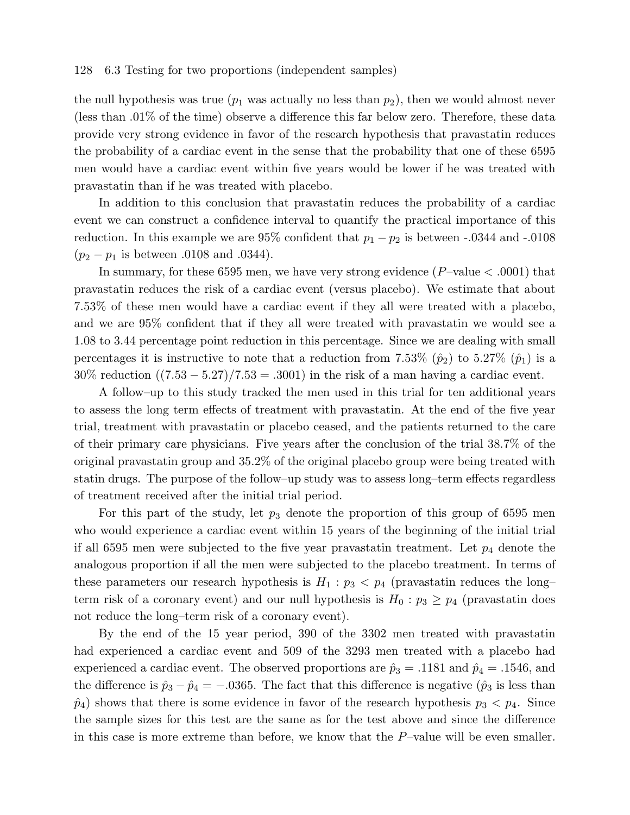#### 128 6.3 Testing for two proportions (independent samples)

the null hypothesis was true  $(p_1$  was actually no less than  $p_2$ ), then we would almost never (less than .01% of the time) observe a difference this far below zero. Therefore, these data provide very strong evidence in favor of the research hypothesis that pravastatin reduces the probability of a cardiac event in the sense that the probability that one of these 6595 men would have a cardiac event within five years would be lower if he was treated with pravastatin than if he was treated with placebo.

In addition to this conclusion that pravastatin reduces the probability of a cardiac event we can construct a confidence interval to quantify the practical importance of this reduction. In this example we are 95% confident that  $p_1 - p_2$  is between -.0344 and -.0108  $(p_2 - p_1)$  is between .0108 and .0344).

In summary, for these 6595 men, we have very strong evidence  $(P$ –value  $\lt$  .0001) that pravastatin reduces the risk of a cardiac event (versus placebo). We estimate that about 7.53% of these men would have a cardiac event if they all were treated with a placebo, and we are 95% confident that if they all were treated with pravastatin we would see a 1.08 to 3.44 percentage point reduction in this percentage. Since we are dealing with small percentages it is instructive to note that a reduction from 7.53%  $(\hat{p}_2)$  to 5.27%  $(\hat{p}_1)$  is a  $30\%$  reduction  $((7.53 - 5.27)/7.53 = .3001)$  in the risk of a man having a cardiac event.

A follow–up to this study tracked the men used in this trial for ten additional years to assess the long term effects of treatment with pravastatin. At the end of the five year trial, treatment with pravastatin or placebo ceased, and the patients returned to the care of their primary care physicians. Five years after the conclusion of the trial 38.7% of the original pravastatin group and 35.2% of the original placebo group were being treated with statin drugs. The purpose of the follow–up study was to assess long–term effects regardless of treatment received after the initial trial period.

For this part of the study, let  $p_3$  denote the proportion of this group of 6595 men who would experience a cardiac event within 15 years of the beginning of the initial trial if all 6595 men were subjected to the five year pravastatin treatment. Let  $p_4$  denote the analogous proportion if all the men were subjected to the placebo treatment. In terms of these parameters our research hypothesis is  $H_1: p_3 < p_4$  (pravastatin reduces the long– term risk of a coronary event) and our null hypothesis is  $H_0: p_3 \geq p_4$  (pravastatin does not reduce the long–term risk of a coronary event).

By the end of the 15 year period, 390 of the 3302 men treated with pravastatin had experienced a cardiac event and 509 of the 3293 men treated with a placebo had experienced a cardiac event. The observed proportions are  $\hat{p}_3 = .1181$  and  $\hat{p}_4 = .1546$ , and the difference is  $\hat{p}_3 - \hat{p}_4 = -.0365$ . The fact that this difference is negative  $(\hat{p}_3$  is less than  $\hat{p}_4$ ) shows that there is some evidence in favor of the research hypothesis  $p_3 < p_4$ . Since the sample sizes for this test are the same as for the test above and since the difference in this case is more extreme than before, we know that the P–value will be even smaller.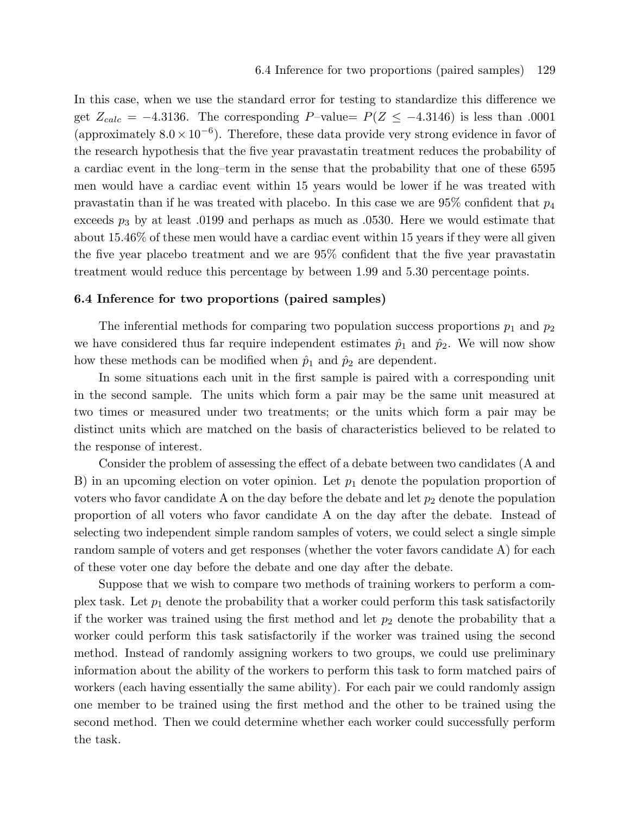In this case, when we use the standard error for testing to standardize this difference we get  $Z_{calc} = -4.3136$ . The corresponding P-value=  $P(Z \le -4.3146)$  is less than .0001 (approximately  $8.0 \times 10^{-6}$ ). Therefore, these data provide very strong evidence in favor of the research hypothesis that the five year pravastatin treatment reduces the probability of a cardiac event in the long–term in the sense that the probability that one of these 6595 men would have a cardiac event within 15 years would be lower if he was treated with pravastatin than if he was treated with placebo. In this case we are  $95\%$  confident that  $p_4$ exceeds  $p_3$  by at least .0199 and perhaps as much as .0530. Here we would estimate that about 15.46% of these men would have a cardiac event within 15 years if they were all given the five year placebo treatment and we are 95% confident that the five year pravastatin treatment would reduce this percentage by between 1.99 and 5.30 percentage points.

#### 6.4 Inference for two proportions (paired samples)

The inferential methods for comparing two population success proportions  $p_1$  and  $p_2$ we have considered thus far require independent estimates  $\hat{p}_1$  and  $\hat{p}_2$ . We will now show how these methods can be modified when  $\hat{p}_1$  and  $\hat{p}_2$  are dependent.

In some situations each unit in the first sample is paired with a corresponding unit in the second sample. The units which form a pair may be the same unit measured at two times or measured under two treatments; or the units which form a pair may be distinct units which are matched on the basis of characteristics believed to be related to the response of interest.

Consider the problem of assessing the effect of a debate between two candidates (A and B) in an upcoming election on voter opinion. Let  $p_1$  denote the population proportion of voters who favor candidate A on the day before the debate and let  $p_2$  denote the population proportion of all voters who favor candidate A on the day after the debate. Instead of selecting two independent simple random samples of voters, we could select a single simple random sample of voters and get responses (whether the voter favors candidate A) for each of these voter one day before the debate and one day after the debate.

Suppose that we wish to compare two methods of training workers to perform a complex task. Let  $p_1$  denote the probability that a worker could perform this task satisfactorily if the worker was trained using the first method and let  $p_2$  denote the probability that a worker could perform this task satisfactorily if the worker was trained using the second method. Instead of randomly assigning workers to two groups, we could use preliminary information about the ability of the workers to perform this task to form matched pairs of workers (each having essentially the same ability). For each pair we could randomly assign one member to be trained using the first method and the other to be trained using the second method. Then we could determine whether each worker could successfully perform the task.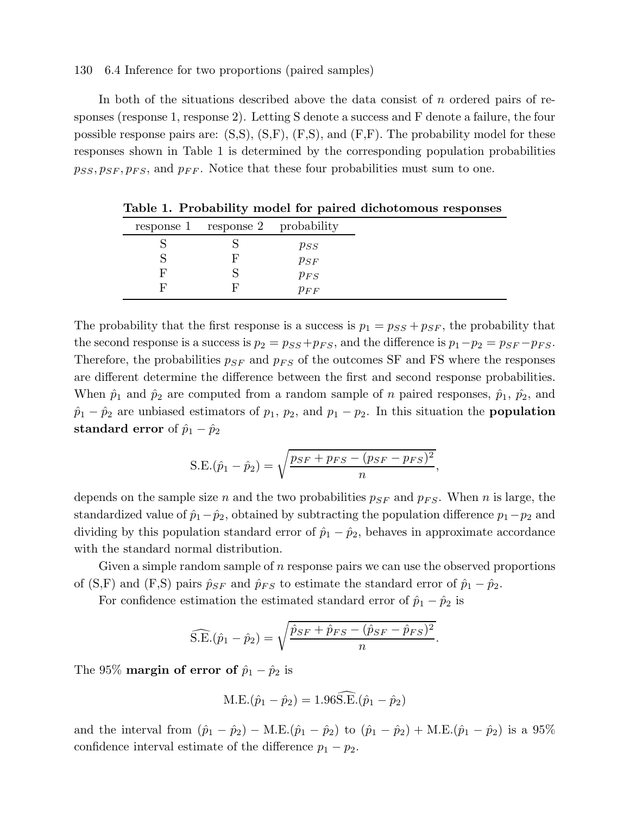## 130 6.4 Inference for two proportions (paired samples)

In both of the situations described above the data consist of n ordered pairs of responses (response 1, response 2). Letting S denote a success and F denote a failure, the four possible response pairs are:  $(S, S)$ ,  $(S, F)$ ,  $(F, S)$ , and  $(F, F)$ . The probability model for these responses shown in Table 1 is determined by the corresponding population probabilities  $p_{SS}, p_{SF}, p_{FS}$ , and  $p_{FF}$ . Notice that these four probabilities must sum to one.

|   | response 1 response 2 probability |          |
|---|-----------------------------------|----------|
|   |                                   | $p_{SS}$ |
|   |                                   | $p_{SF}$ |
| F |                                   | $p_{FS}$ |
| ы |                                   | $p_{FF}$ |

Table 1. Probability model for paired dichotomous responses

The probability that the first response is a success is  $p_1 = p_{SS} + p_{SF}$ , the probability that the second response is a success is  $p_2 = p_{SS} + p_{FS}$ , and the difference is  $p_1 - p_2 = p_{SF} - p_{FS}$ . Therefore, the probabilities  $p_{SF}$  and  $p_{FS}$  of the outcomes SF and FS where the responses are different determine the difference between the first and second response probabilities. When  $\hat{p}_1$  and  $\hat{p}_2$  are computed from a random sample of n paired responses,  $\hat{p}_1$ ,  $\hat{p}_2$ , and  $\hat{p}_1 - \hat{p}_2$  are unbiased estimators of  $p_1$ ,  $p_2$ , and  $p_1 - p_2$ . In this situation the **population** standard error of  $\hat{p}_1 - \hat{p}_2$ 

S.E.
$$
(\hat{p}_1 - \hat{p}_2) = \sqrt{\frac{p_{SF} + p_{FS} - (p_{SF} - p_{FS})^2}{n}}
$$
,

depends on the sample size n and the two probabilities  $p_{SF}$  and  $p_{FS}$ . When n is large, the standardized value of  $\hat{p}_1-\hat{p}_2$ , obtained by subtracting the population difference  $p_1-p_2$  and dividing by this population standard error of  $\hat{p}_1 - \hat{p}_2$ , behaves in approximate accordance with the standard normal distribution.

Given a simple random sample of  $n$  response pairs we can use the observed proportions of (S,F) and (F,S) pairs  $\hat{p}_{SF}$  and  $\hat{p}_{FS}$  to estimate the standard error of  $\hat{p}_1 - \hat{p}_2$ .

For confidence estimation the estimated standard error of  $\hat{p}_1 - \hat{p}_2$  is

$$
\widehat{\text{S.E.}}(\hat{p}_1 - \hat{p}_2) = \sqrt{\frac{\hat{p}_{SF} + \hat{p}_{FS} - (\hat{p}_{SF} - \hat{p}_{FS})^2}{n}}.
$$

The 95% **margin of error of**  $\hat{p}_1 - \hat{p}_2$  is

$$
M.E.(\hat{p}_1 - \hat{p}_2) = 1.96 \widehat{S.E.}(\hat{p}_1 - \hat{p}_2)
$$

and the interval from  $(\hat{p}_1 - \hat{p}_2) - M.E.(\hat{p}_1 - \hat{p}_2)$  to  $(\hat{p}_1 - \hat{p}_2) + M.E.(\hat{p}_1 - \hat{p}_2)$  is a 95% confidence interval estimate of the difference  $p_1 - p_2$ .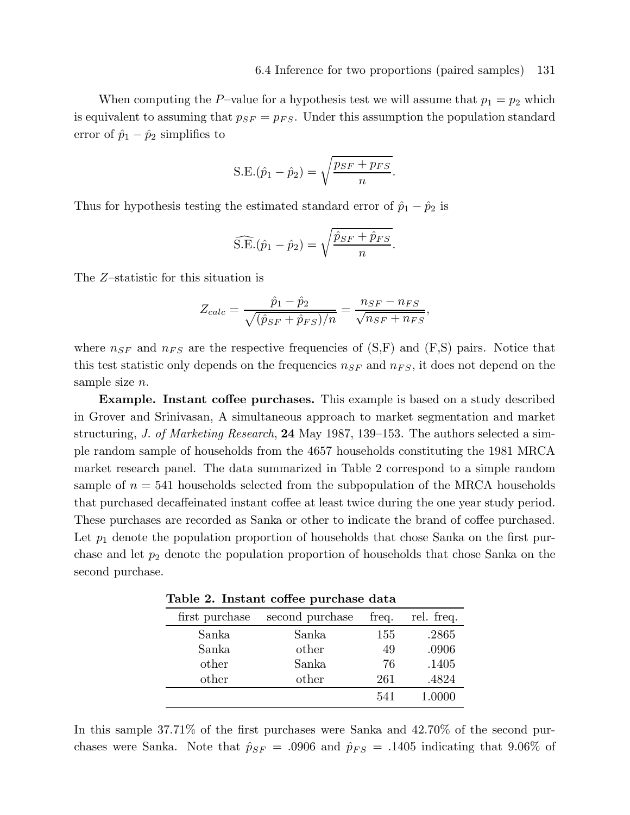When computing the P–value for a hypothesis test we will assume that  $p_1 = p_2$  which is equivalent to assuming that  $p_{SF} = p_{FS}$ . Under this assumption the population standard error of  $\hat{p}_1 - \hat{p}_2$  simplifies to

S.E.
$$
(\hat{p}_1 - \hat{p}_2) = \sqrt{\frac{p_{SF} + p_{FS}}{n}}
$$
.

Thus for hypothesis testing the estimated standard error of  $\hat{p}_1 - \hat{p}_2$  is

$$
\widehat{\text{S.E.}}(\hat{p}_1 - \hat{p}_2) = \sqrt{\frac{\hat{p}_{SF} + \hat{p}_{FS}}{n}}.
$$

The Z–statistic for this situation is

$$
Z_{calc} = \frac{\hat{p}_1 - \hat{p}_2}{\sqrt{(\hat{p}_{SF} + \hat{p}_{FS})/n}} = \frac{n_{SF} - n_{FS}}{\sqrt{n_{SF} + n_{FS}}},
$$

where  $n_{SF}$  and  $n_{FS}$  are the respective frequencies of  $(S, F)$  and  $(F, S)$  pairs. Notice that this test statistic only depends on the frequencies  $n_{SF}$  and  $n_{FS}$ , it does not depend on the sample size *n*.

Example. Instant coffee purchases. This example is based on a study described in Grover and Srinivasan, A simultaneous approach to market segmentation and market structuring, J. of Marketing Research, 24 May 1987, 139–153. The authors selected a simple random sample of households from the 4657 households constituting the 1981 MRCA market research panel. The data summarized in Table 2 correspond to a simple random sample of  $n = 541$  households selected from the subpopulation of the MRCA households that purchased decaffeinated instant coffee at least twice during the one year study period. These purchases are recorded as Sanka or other to indicate the brand of coffee purchased. Let  $p_1$  denote the population proportion of households that chose Sanka on the first purchase and let  $p_2$  denote the population proportion of households that chose Sanka on the second purchase.

Table 2. Instant coffee purchase data

| first purchase | second purchase | freq. | rel. freq. |
|----------------|-----------------|-------|------------|
| Sanka          | Sanka           | 155   | .2865      |
| Sanka          | other           | 49    | .0906      |
| other          | Sanka           | 76    | .1405      |
| other          | other           | 261   | .4824      |
|                |                 | 541   | 1.0000     |

In this sample 37.71% of the first purchases were Sanka and 42.70% of the second purchases were Sanka. Note that  $\hat{p}_{SF} = .0906$  and  $\hat{p}_{FS} = .1405$  indicating that 9.06% of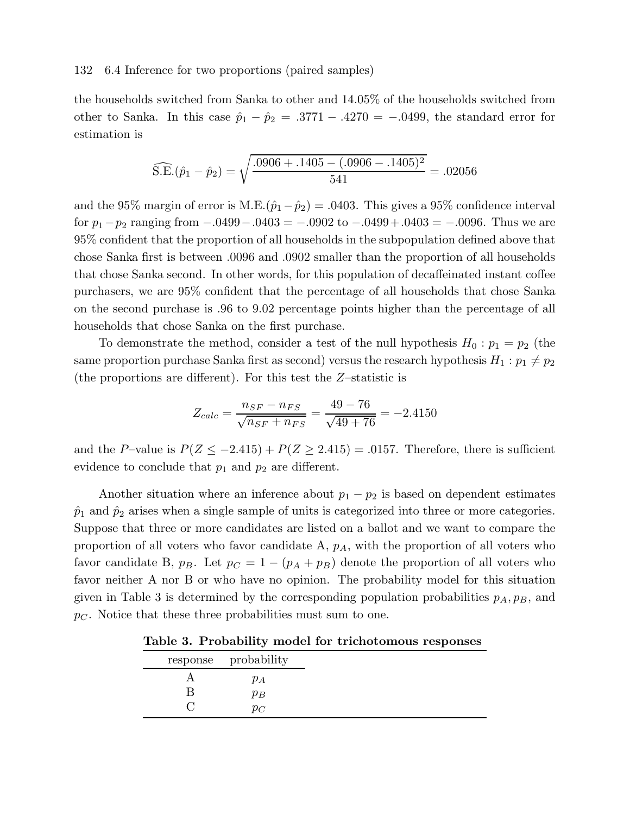### 132 6.4 Inference for two proportions (paired samples)

the households switched from Sanka to other and 14.05% of the households switched from other to Sanka. In this case  $\hat{p}_1 - \hat{p}_2 = .3771 - .4270 = -.0499$ , the standard error for estimation is

$$
\widehat{\text{S.E.}}(\hat{p}_1 - \hat{p}_2) = \sqrt{\frac{.0906 + .1405 - (.0906 - .1405)^2}{541}} = .02056
$$

and the 95% margin of error is M.E. $(\hat{p}_1 - \hat{p}_2) = .0403$ . This gives a 95% confidence interval for  $p_1-p_2$  ranging from  $-.0499-.0403 = -.0902$  to  $-.0499+.0403 = -.0096$ . Thus we are 95% confident that the proportion of all households in the subpopulation defined above that chose Sanka first is between .0096 and .0902 smaller than the proportion of all households that chose Sanka second. In other words, for this population of decaffeinated instant coffee purchasers, we are 95% confident that the percentage of all households that chose Sanka on the second purchase is .96 to 9.02 percentage points higher than the percentage of all households that chose Sanka on the first purchase.

To demonstrate the method, consider a test of the null hypothesis  $H_0: p_1 = p_2$  (the same proportion purchase Sanka first as second) versus the research hypothesis  $H_1: p_1 \neq p_2$ (the proportions are different). For this test the Z–statistic is

$$
Z_{calc} = \frac{n_{SF} - n_{FS}}{\sqrt{n_{SF} + n_{FS}}} = \frac{49 - 76}{\sqrt{49 + 76}} = -2.4150
$$

and the P–value is  $P(Z \le -2.415) + P(Z \ge 2.415) = .0157$ . Therefore, there is sufficient evidence to conclude that  $p_1$  and  $p_2$  are different.

Another situation where an inference about  $p_1 - p_2$  is based on dependent estimates  $\hat{p}_1$  and  $\hat{p}_2$  arises when a single sample of units is categorized into three or more categories. Suppose that three or more candidates are listed on a ballot and we want to compare the proportion of all voters who favor candidate  $A$ ,  $p_A$ , with the proportion of all voters who favor candidate B,  $p_B$ . Let  $p_C = 1 - (p_A + p_B)$  denote the proportion of all voters who favor neither A nor B or who have no opinion. The probability model for this situation given in Table 3 is determined by the corresponding population probabilities  $p_A, p_B$ , and  $p<sub>C</sub>$ . Notice that these three probabilities must sum to one.

Table 3. Probability model for trichotomous responses

|  | response probability |
|--|----------------------|
|  | $p_A$                |
|  | $p_B$                |
|  | $p_C$                |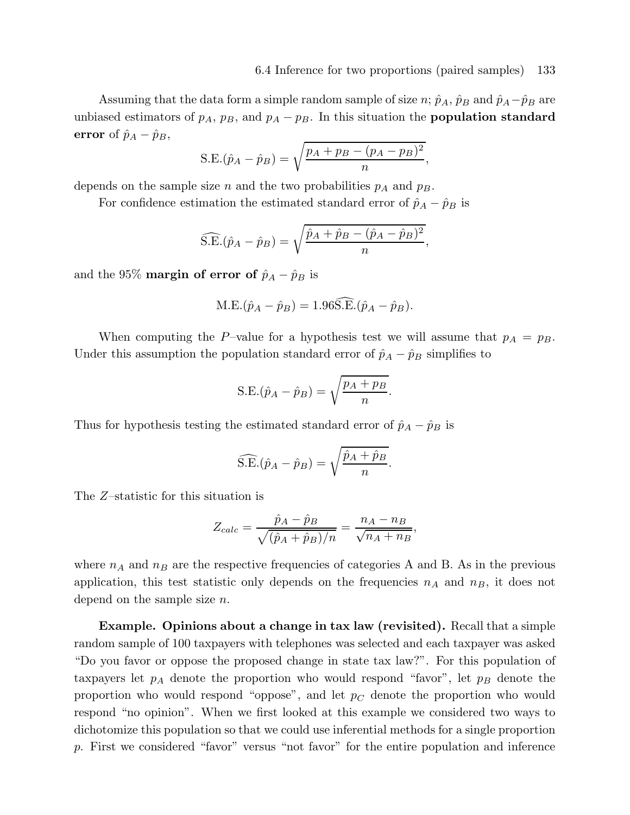Assuming that the data form a simple random sample of size  $n$ ;  $\hat{p}_A$ ,  $\hat{p}_B$  and  $\hat{p}_A - \hat{p}_B$  are unbiased estimators of  $p_A$ ,  $p_B$ , and  $p_A - p_B$ . In this situation the **population standard** error of  $\hat{p}_A - \hat{p}_B$ ,

S.E.
$$
(\hat{p}_A - \hat{p}_B) = \sqrt{\frac{p_A + p_B - (p_A - p_B)^2}{n}},
$$

depends on the sample size n and the two probabilities  $p_A$  and  $p_B$ .

For confidence estimation the estimated standard error of  $\hat{p}_A - \hat{p}_B$  is

$$
\widehat{\text{S.E.}}(\hat{p}_A - \hat{p}_B) = \sqrt{\frac{\hat{p}_A + \hat{p}_B - (\hat{p}_A - \hat{p}_B)^2}{n}},
$$

and the 95% **margin of error of**  $\hat{p}_A - \hat{p}_B$  is

$$
M.E.(\hat{p}_A - \hat{p}_B) = 1.96 \widehat{S.E.}(\hat{p}_A - \hat{p}_B).
$$

When computing the P–value for a hypothesis test we will assume that  $p_A = p_B$ . Under this assumption the population standard error of  $\hat{p}_A - \hat{p}_B$  simplifies to

$$
S.E.(\hat{p}_A - \hat{p}_B) = \sqrt{\frac{p_A + p_B}{n}}
$$

.

Thus for hypothesis testing the estimated standard error of  $\hat{p}_A - \hat{p}_B$  is

$$
\widehat{\text{S.E.}}(\hat{p}_A - \hat{p}_B) = \sqrt{\frac{\hat{p}_A + \hat{p}_B}{n}}.
$$

The Z–statistic for this situation is

$$
Z_{calc} = \frac{\hat{p}_A - \hat{p}_B}{\sqrt{(\hat{p}_A + \hat{p}_B)/n}} = \frac{n_A - n_B}{\sqrt{n_A + n_B}},
$$

where  $n_A$  and  $n_B$  are the respective frequencies of categories A and B. As in the previous application, this test statistic only depends on the frequencies  $n_A$  and  $n_B$ , it does not depend on the sample size  $n$ .

Example. Opinions about a change in tax law (revisited). Recall that a simple random sample of 100 taxpayers with telephones was selected and each taxpayer was asked "Do you favor or oppose the proposed change in state tax law?". For this population of taxpayers let  $p_A$  denote the proportion who would respond "favor", let  $p_B$  denote the proportion who would respond "oppose", and let  $p<sub>C</sub>$  denote the proportion who would respond "no opinion". When we first looked at this example we considered two ways to dichotomize this population so that we could use inferential methods for a single proportion p. First we considered "favor" versus "not favor" for the entire population and inference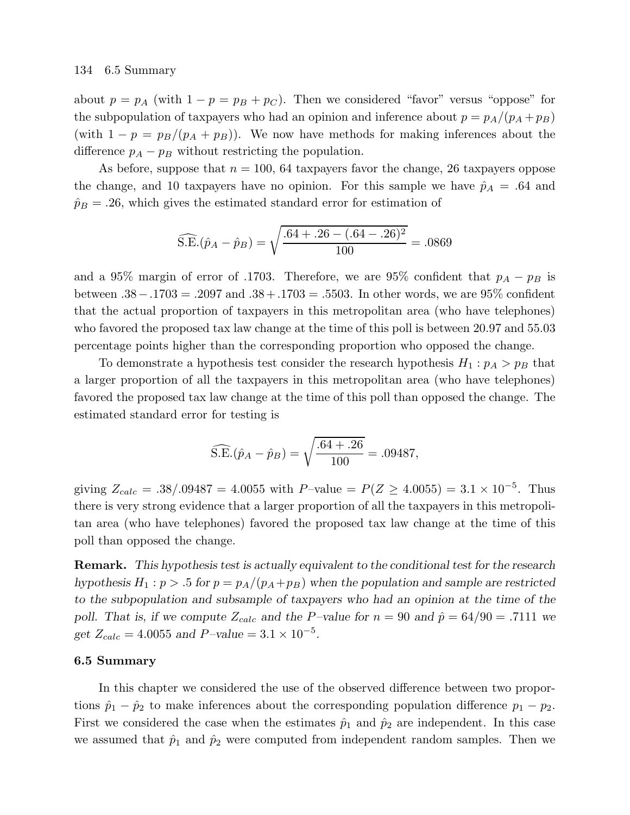about  $p = p_A$  (with  $1 - p = p_B + p_C$ ). Then we considered "favor" versus "oppose" for the subpopulation of taxpayers who had an opinion and inference about  $p = p_A/(p_A + p_B)$ (with  $1 - p = p_B/(p_A + p_B)$ ). We now have methods for making inferences about the difference  $p_A - p_B$  without restricting the population.

As before, suppose that  $n = 100$ , 64 taxpayers favor the change, 26 taxpayers oppose the change, and 10 taxpayers have no opinion. For this sample we have  $\hat{p}_A = .64$  and  $\hat{p}_B = .26$ , which gives the estimated standard error for estimation of

$$
\widehat{\text{S.E.}}(\hat{p}_A - \hat{p}_B) = \sqrt{\frac{.64 + .26 - (.64 - .26)^2}{100}} = .0869
$$

and a 95% margin of error of .1703. Therefore, we are 95% confident that  $p_A - p_B$  is between .38−.1703 = .2097 and .38 +.1703 = .5503. In other words, we are 95% confident that the actual proportion of taxpayers in this metropolitan area (who have telephones) who favored the proposed tax law change at the time of this poll is between 20.97 and 55.03 percentage points higher than the corresponding proportion who opposed the change.

To demonstrate a hypothesis test consider the research hypothesis  $H_1: p_A > p_B$  that a larger proportion of all the taxpayers in this metropolitan area (who have telephones) favored the proposed tax law change at the time of this poll than opposed the change. The estimated standard error for testing is

$$
\widehat{\text{S.E.}}(\hat{p}_A - \hat{p}_B) = \sqrt{\frac{.64 + .26}{100}} = .09487,
$$

giving  $Z_{calc} = .38/.09487 = 4.0055$  with  $P$ -value  $= P(Z \ge 4.0055) = 3.1 \times 10^{-5}$ . Thus there is very strong evidence that a larger proportion of all the taxpayers in this metropolitan area (who have telephones) favored the proposed tax law change at the time of this poll than opposed the change.

Remark. This hypothesis test is actually equivalent to the conditional test for the research hypothesis  $H_1: p > 0.5$  for  $p = p_A/(p_A + p_B)$  when the population and sample are restricted to the subpopulation and subsample of taxpayers who had an opinion at the time of the poll. That is, if we compute  $Z_{calc}$  and the P-value for  $n = 90$  and  $\hat{p} = 64/90 = .7111$  we get  $Z_{calc} = 4.0055$  and  $P$ -value =  $3.1 \times 10^{-5}$ .

## 6.5 Summary

In this chapter we considered the use of the observed difference between two proportions  $\hat{p}_1 - \hat{p}_2$  to make inferences about the corresponding population difference  $p_1 - p_2$ . First we considered the case when the estimates  $\hat{p}_1$  and  $\hat{p}_2$  are independent. In this case we assumed that  $\hat{p}_1$  and  $\hat{p}_2$  were computed from independent random samples. Then we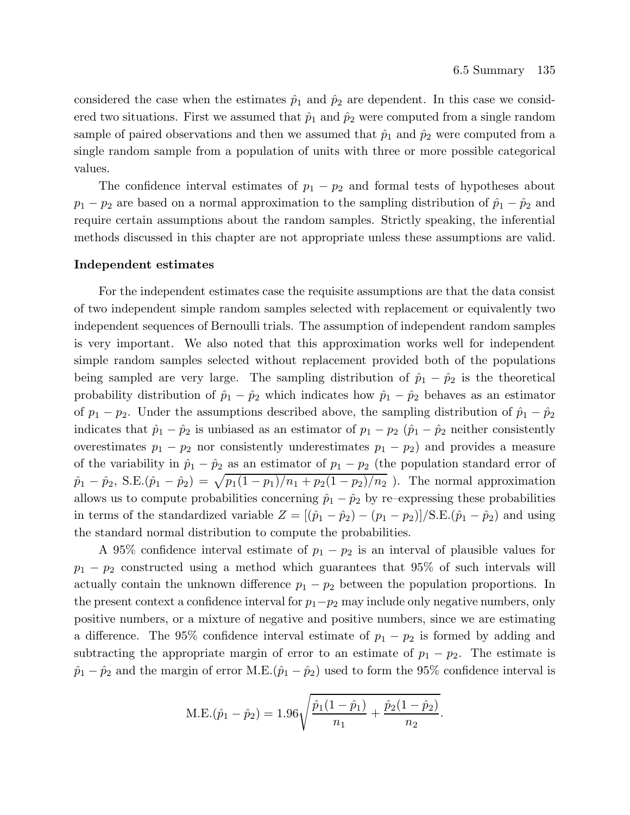considered the case when the estimates  $\hat{p}_1$  and  $\hat{p}_2$  are dependent. In this case we considered two situations. First we assumed that  $\hat{p}_1$  and  $\hat{p}_2$  were computed from a single random sample of paired observations and then we assumed that  $\hat{p}_1$  and  $\hat{p}_2$  were computed from a single random sample from a population of units with three or more possible categorical values.

The confidence interval estimates of  $p_1 - p_2$  and formal tests of hypotheses about  $p_1 - p_2$  are based on a normal approximation to the sampling distribution of  $\hat{p}_1 - \hat{p}_2$  and require certain assumptions about the random samples. Strictly speaking, the inferential methods discussed in this chapter are not appropriate unless these assumptions are valid.

## Independent estimates

For the independent estimates case the requisite assumptions are that the data consist of two independent simple random samples selected with replacement or equivalently two independent sequences of Bernoulli trials. The assumption of independent random samples is very important. We also noted that this approximation works well for independent simple random samples selected without replacement provided both of the populations being sampled are very large. The sampling distribution of  $\hat{p}_1 - \hat{p}_2$  is the theoretical probability distribution of  $\hat{p}_1 - \hat{p}_2$  which indicates how  $\hat{p}_1 - \hat{p}_2$  behaves as an estimator of  $p_1 - p_2$ . Under the assumptions described above, the sampling distribution of  $\hat{p}_1 - \hat{p}_2$ indicates that  $\hat{p}_1 - \hat{p}_2$  is unbiased as an estimator of  $p_1 - p_2$  ( $\hat{p}_1 - \hat{p}_2$  neither consistently overestimates  $p_1 - p_2$  nor consistently underestimates  $p_1 - p_2$ ) and provides a measure of the variability in  $\hat{p}_1 - \hat{p}_2$  as an estimator of  $p_1 - p_2$  (the population standard error of  $\hat{p}_1 - \hat{p}_2$ , S.E. $(\hat{p}_1 - \hat{p}_2) = \sqrt{p_1(1 - p_1)/n_1 + p_2(1 - p_2)/n_2}$ ). The normal approximation allows us to compute probabilities concerning  $\hat{p}_1 - \hat{p}_2$  by re–expressing these probabilities in terms of the standardized variable  $Z = [(\hat{p}_1 - \hat{p}_2) - (p_1 - p_2)]/S.E.(\hat{p}_1 - \hat{p}_2)$  and using the standard normal distribution to compute the probabilities.

A 95% confidence interval estimate of  $p_1 - p_2$  is an interval of plausible values for  $p_1 - p_2$  constructed using a method which guarantees that 95% of such intervals will actually contain the unknown difference  $p_1 - p_2$  between the population proportions. In the present context a confidence interval for  $p_1-p_2$  may include only negative numbers, only positive numbers, or a mixture of negative and positive numbers, since we are estimating a difference. The 95% confidence interval estimate of  $p_1 - p_2$  is formed by adding and subtracting the appropriate margin of error to an estimate of  $p_1 - p_2$ . The estimate is  $\hat{p}_1 - \hat{p}_2$  and the margin of error M.E. $(\hat{p}_1 - \hat{p}_2)$  used to form the 95% confidence interval is

M.E.
$$
(\hat{p}_1 - \hat{p}_2) = 1.96 \sqrt{\frac{\hat{p}_1(1-\hat{p}_1)}{n_1} + \frac{\hat{p}_2(1-\hat{p}_2)}{n_2}}
$$
.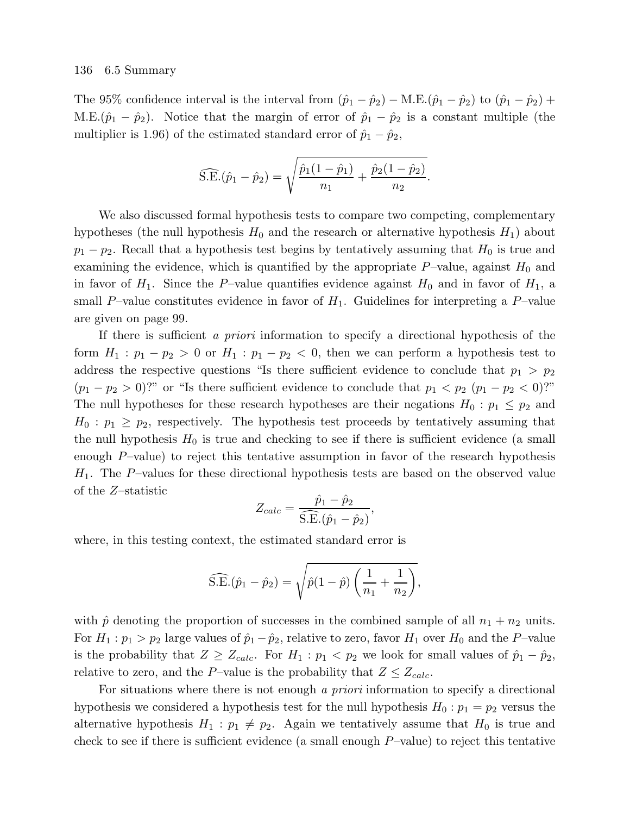The 95% confidence interval is the interval from  $(\hat{p}_1 - \hat{p}_2) - M.E.(\hat{p}_1 - \hat{p}_2)$  to  $(\hat{p}_1 - \hat{p}_2)$  + M.E. $(\hat{p}_1 - \hat{p}_2)$ . Notice that the margin of error of  $\hat{p}_1 - \hat{p}_2$  is a constant multiple (the multiplier is 1.96) of the estimated standard error of  $\hat{p}_1 - \hat{p}_2$ ,

$$
\widehat{\text{S.E.}}(\hat{p}_1 - \hat{p}_2) = \sqrt{\frac{\hat{p}_1(1-\hat{p}_1)}{n_1} + \frac{\hat{p}_2(1-\hat{p}_2)}{n_2}}.
$$

We also discussed formal hypothesis tests to compare two competing, complementary hypotheses (the null hypothesis  $H_0$  and the research or alternative hypothesis  $H_1$ ) about  $p_1 - p_2$ . Recall that a hypothesis test begins by tentatively assuming that  $H_0$  is true and examining the evidence, which is quantified by the appropriate  $P$ –value, against  $H_0$  and in favor of  $H_1$ . Since the P–value quantifies evidence against  $H_0$  and in favor of  $H_1$ , a small P–value constitutes evidence in favor of  $H_1$ . Guidelines for interpreting a P–value are given on page 99.

If there is sufficient a priori information to specify a directional hypothesis of the form  $H_1: p_1 - p_2 > 0$  or  $H_1: p_1 - p_2 < 0$ , then we can perform a hypothesis test to address the respective questions "Is there sufficient evidence to conclude that  $p_1 > p_2$  $(p_1 - p_2 > 0)$ ?" or "Is there sufficient evidence to conclude that  $p_1 < p_2$   $(p_1 - p_2 < 0)$ ?" The null hypotheses for these research hypotheses are their negations  $H_0: p_1 \leq p_2$  and  $H_0: p_1 \geq p_2$ , respectively. The hypothesis test proceeds by tentatively assuming that the null hypothesis  $H_0$  is true and checking to see if there is sufficient evidence (a small enough  $P$ -value) to reject this tentative assumption in favor of the research hypothesis  $H_1$ . The P–values for these directional hypothesis tests are based on the observed value of the Z–statistic

$$
Z_{calc} = \frac{\hat{p}_1 - \hat{p}_2}{\widehat{S.E.}(\hat{p}_1 - \hat{p}_2)}
$$

,

where, in this testing context, the estimated standard error is

$$
\widehat{\text{S.E.}}(\hat{p}_1 - \hat{p}_2) = \sqrt{\hat{p}(1 - \hat{p}) \left( \frac{1}{n_1} + \frac{1}{n_2} \right)},
$$

with  $\hat{p}$  denoting the proportion of successes in the combined sample of all  $n_1 + n_2$  units. For  $H_1: p_1 > p_2$  large values of  $\hat{p}_1 - \hat{p}_2$ , relative to zero, favor  $H_1$  over  $H_0$  and the P–value is the probability that  $Z \geq Z_{calc}$ . For  $H_1 : p_1 < p_2$  we look for small values of  $\hat{p}_1 - \hat{p}_2$ , relative to zero, and the P–value is the probability that  $Z \leq Z_{calc}$ .

For situations where there is not enough a priori information to specify a directional hypothesis we considered a hypothesis test for the null hypothesis  $H_0: p_1 = p_2$  versus the alternative hypothesis  $H_1: p_1 \neq p_2$ . Again we tentatively assume that  $H_0$  is true and check to see if there is sufficient evidence (a small enough  $P$ –value) to reject this tentative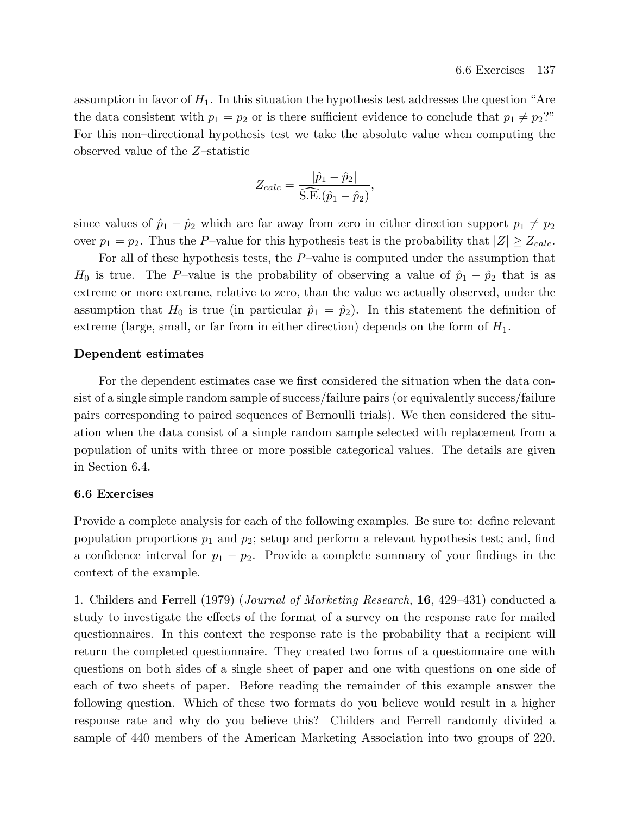assumption in favor of  $H_1$ . In this situation the hypothesis test addresses the question "Are the data consistent with  $p_1 = p_2$  or is there sufficient evidence to conclude that  $p_1 \neq p_2$ ?" For this non–directional hypothesis test we take the absolute value when computing the observed value of the Z–statistic

$$
Z_{calc} = \frac{|\hat{p}_1 - \hat{p}_2|}{\widehat{\text{S.E.}}(\hat{p}_1 - \hat{p}_2)},
$$

since values of  $\hat{p}_1 - \hat{p}_2$  which are far away from zero in either direction support  $p_1 \neq p_2$ over  $p_1 = p_2$ . Thus the P–value for this hypothesis test is the probability that  $|Z| \geq Z_{calc}$ .

For all of these hypothesis tests, the  $P$ -value is computed under the assumption that  $H_0$  is true. The P–value is the probability of observing a value of  $\hat{p}_1 - \hat{p}_2$  that is as extreme or more extreme, relative to zero, than the value we actually observed, under the assumption that  $H_0$  is true (in particular  $\hat{p}_1 = \hat{p}_2$ ). In this statement the definition of extreme (large, small, or far from in either direction) depends on the form of  $H_1$ .

# Dependent estimates

For the dependent estimates case we first considered the situation when the data consist of a single simple random sample of success/failure pairs (or equivalently success/failure pairs corresponding to paired sequences of Bernoulli trials). We then considered the situation when the data consist of a simple random sample selected with replacement from a population of units with three or more possible categorical values. The details are given in Section 6.4.

# 6.6 Exercises

Provide a complete analysis for each of the following examples. Be sure to: define relevant population proportions  $p_1$  and  $p_2$ ; setup and perform a relevant hypothesis test; and, find a confidence interval for  $p_1 - p_2$ . Provide a complete summary of your findings in the context of the example.

1. Childers and Ferrell (1979) (Journal of Marketing Research, 16, 429–431) conducted a study to investigate the effects of the format of a survey on the response rate for mailed questionnaires. In this context the response rate is the probability that a recipient will return the completed questionnaire. They created two forms of a questionnaire one with questions on both sides of a single sheet of paper and one with questions on one side of each of two sheets of paper. Before reading the remainder of this example answer the following question. Which of these two formats do you believe would result in a higher response rate and why do you believe this? Childers and Ferrell randomly divided a sample of 440 members of the American Marketing Association into two groups of 220.